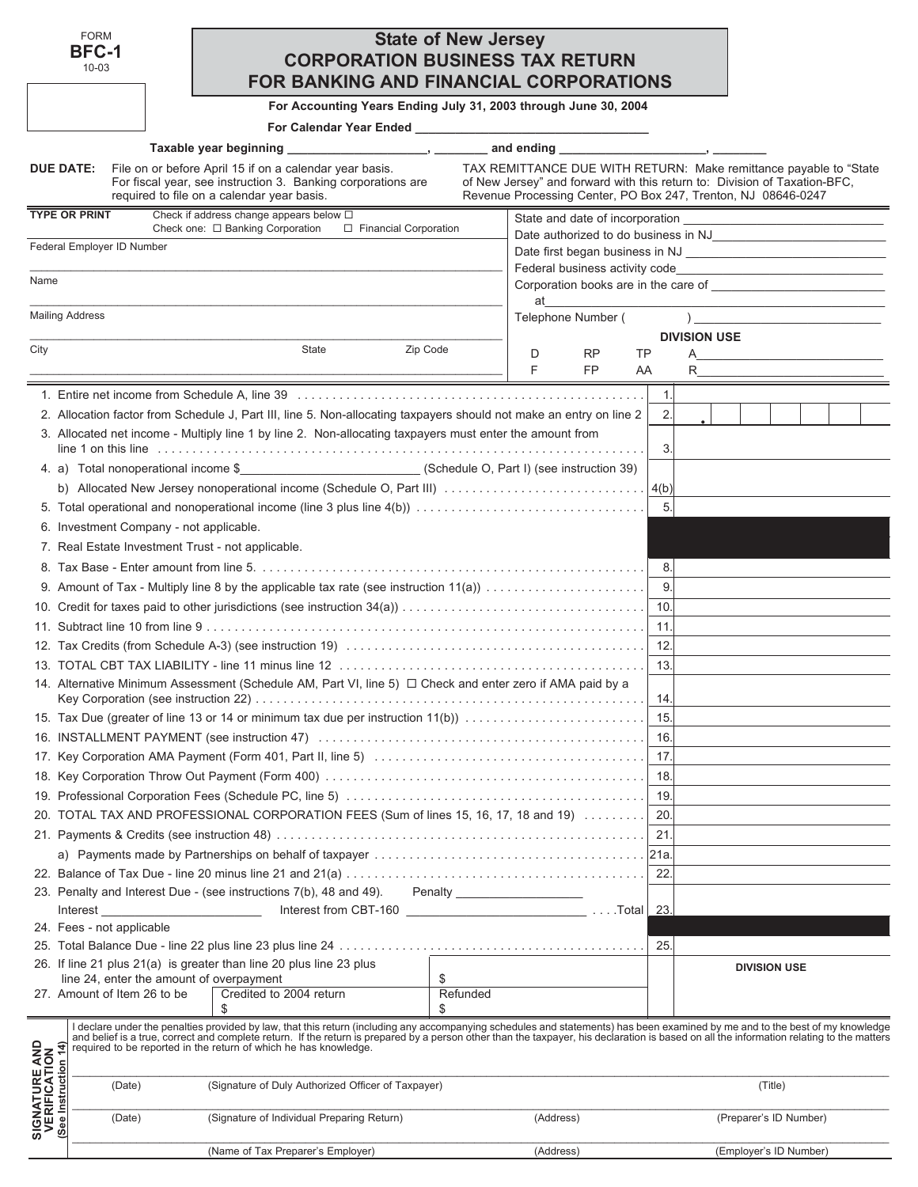| FORM  |
|-------|
| BFC-1 |
| .     |

# 10-03

# **State of New Jersey CORPORATION BUSINESS TAX RETURN FOR BANKING AND FINANCIAL CORPORATIONS**

**For Accounting Years Ending July 31, 2003 through June 30, 2004**

**For Calendar Year Ended \_\_\_\_\_\_\_\_\_\_\_\_\_\_\_\_\_\_\_\_\_\_\_\_\_\_\_\_\_\_\_\_\_\_\_**

| Liiutu |  |           |  |  |  |
|--------|--|-----------|--|--|--|
|        |  | _________ |  |  |  |
|        |  |           |  |  |  |
|        |  |           |  |  |  |
|        |  |           |  |  |  |

|                                                                | Taxable year beginning                                                                                                                                                                                                                                                                                                                                                                                                                         | and ending                                                                                                                                                                                                      | <u> 1989 - John Stone, amerikansk politiker (</u> |                                                                                                                                                                                                                                          |
|----------------------------------------------------------------|------------------------------------------------------------------------------------------------------------------------------------------------------------------------------------------------------------------------------------------------------------------------------------------------------------------------------------------------------------------------------------------------------------------------------------------------|-----------------------------------------------------------------------------------------------------------------------------------------------------------------------------------------------------------------|---------------------------------------------------|------------------------------------------------------------------------------------------------------------------------------------------------------------------------------------------------------------------------------------------|
| DUE DATE:                                                      | File on or before April 15 if on a calendar year basis.<br>For fiscal year, see instruction 3. Banking corporations are<br>required to file on a calendar year basis.                                                                                                                                                                                                                                                                          | TAX REMITTANCE DUE WITH RETURN: Make remittance payable to "State<br>of New Jersey" and forward with this return to: Division of Taxation-BFC,<br>Revenue Processing Center, PO Box 247, Trenton, NJ 08646-0247 |                                                   |                                                                                                                                                                                                                                          |
| <b>TYPE OR PRINT</b>                                           | Check if address change appears below $\Box$                                                                                                                                                                                                                                                                                                                                                                                                   |                                                                                                                                                                                                                 |                                                   | State and date of incorporation <b>contained</b> and the state of incorporation <b>contained</b> and the state of the state of the state of the state of the state of the state of the state of the state of the state of the state of t |
|                                                                | Check one: □ Banking Corporation<br>□ Financial Corporation                                                                                                                                                                                                                                                                                                                                                                                    |                                                                                                                                                                                                                 |                                                   |                                                                                                                                                                                                                                          |
|                                                                | Federal Employer ID Number                                                                                                                                                                                                                                                                                                                                                                                                                     |                                                                                                                                                                                                                 |                                                   |                                                                                                                                                                                                                                          |
| Name                                                           |                                                                                                                                                                                                                                                                                                                                                                                                                                                |                                                                                                                                                                                                                 |                                                   |                                                                                                                                                                                                                                          |
|                                                                |                                                                                                                                                                                                                                                                                                                                                                                                                                                | at                                                                                                                                                                                                              |                                                   |                                                                                                                                                                                                                                          |
| <b>Mailing Address</b>                                         |                                                                                                                                                                                                                                                                                                                                                                                                                                                | Telephone Number (                                                                                                                                                                                              |                                                   | $\overline{)}$                                                                                                                                                                                                                           |
|                                                                |                                                                                                                                                                                                                                                                                                                                                                                                                                                |                                                                                                                                                                                                                 |                                                   | <b>DIVISION USE</b>                                                                                                                                                                                                                      |
| City                                                           | State<br>Zip Code                                                                                                                                                                                                                                                                                                                                                                                                                              | D<br>RP<br>TP                                                                                                                                                                                                   | A                                                 |                                                                                                                                                                                                                                          |
|                                                                |                                                                                                                                                                                                                                                                                                                                                                                                                                                | <b>FP</b><br>F.<br>AA                                                                                                                                                                                           |                                                   | $R \sim 1$                                                                                                                                                                                                                               |
|                                                                |                                                                                                                                                                                                                                                                                                                                                                                                                                                |                                                                                                                                                                                                                 | 1.                                                |                                                                                                                                                                                                                                          |
|                                                                | 2. Allocation factor from Schedule J, Part III, line 5. Non-allocating taxpayers should not make an entry on line 2                                                                                                                                                                                                                                                                                                                            |                                                                                                                                                                                                                 | 2.                                                |                                                                                                                                                                                                                                          |
|                                                                | 3. Allocated net income - Multiply line 1 by line 2. Non-allocating taxpayers must enter the amount from                                                                                                                                                                                                                                                                                                                                       |                                                                                                                                                                                                                 | 3.                                                |                                                                                                                                                                                                                                          |
|                                                                | 4. a) Total nonoperational income \$______________________________(Schedule O, Part I) (see instruction 39)                                                                                                                                                                                                                                                                                                                                    |                                                                                                                                                                                                                 |                                                   |                                                                                                                                                                                                                                          |
|                                                                |                                                                                                                                                                                                                                                                                                                                                                                                                                                |                                                                                                                                                                                                                 |                                                   |                                                                                                                                                                                                                                          |
|                                                                |                                                                                                                                                                                                                                                                                                                                                                                                                                                |                                                                                                                                                                                                                 | 5.                                                |                                                                                                                                                                                                                                          |
|                                                                | 6. Investment Company - not applicable.                                                                                                                                                                                                                                                                                                                                                                                                        |                                                                                                                                                                                                                 |                                                   |                                                                                                                                                                                                                                          |
|                                                                | 7. Real Estate Investment Trust - not applicable.                                                                                                                                                                                                                                                                                                                                                                                              |                                                                                                                                                                                                                 |                                                   |                                                                                                                                                                                                                                          |
|                                                                |                                                                                                                                                                                                                                                                                                                                                                                                                                                |                                                                                                                                                                                                                 | 8.                                                |                                                                                                                                                                                                                                          |
|                                                                |                                                                                                                                                                                                                                                                                                                                                                                                                                                |                                                                                                                                                                                                                 | 9.                                                |                                                                                                                                                                                                                                          |
|                                                                |                                                                                                                                                                                                                                                                                                                                                                                                                                                |                                                                                                                                                                                                                 | 10.                                               |                                                                                                                                                                                                                                          |
|                                                                |                                                                                                                                                                                                                                                                                                                                                                                                                                                |                                                                                                                                                                                                                 | 11.                                               |                                                                                                                                                                                                                                          |
|                                                                |                                                                                                                                                                                                                                                                                                                                                                                                                                                |                                                                                                                                                                                                                 | 12.                                               |                                                                                                                                                                                                                                          |
|                                                                |                                                                                                                                                                                                                                                                                                                                                                                                                                                |                                                                                                                                                                                                                 | 13.                                               |                                                                                                                                                                                                                                          |
|                                                                | 14. Alternative Minimum Assessment (Schedule AM, Part VI, line 5) $\Box$ Check and enter zero if AMA paid by a                                                                                                                                                                                                                                                                                                                                 |                                                                                                                                                                                                                 | 14.                                               |                                                                                                                                                                                                                                          |
|                                                                | 15. Tax Due (greater of line 13 or 14 or minimum tax due per instruction 11(b))                                                                                                                                                                                                                                                                                                                                                                |                                                                                                                                                                                                                 | 15.                                               |                                                                                                                                                                                                                                          |
|                                                                |                                                                                                                                                                                                                                                                                                                                                                                                                                                |                                                                                                                                                                                                                 | 16.                                               |                                                                                                                                                                                                                                          |
|                                                                |                                                                                                                                                                                                                                                                                                                                                                                                                                                |                                                                                                                                                                                                                 | 17.                                               |                                                                                                                                                                                                                                          |
|                                                                |                                                                                                                                                                                                                                                                                                                                                                                                                                                |                                                                                                                                                                                                                 | 18.                                               |                                                                                                                                                                                                                                          |
|                                                                |                                                                                                                                                                                                                                                                                                                                                                                                                                                |                                                                                                                                                                                                                 |                                                   |                                                                                                                                                                                                                                          |
|                                                                | 20. TOTAL TAX AND PROFESSIONAL CORPORATION FEES (Sum of lines 15, 16, 17, 18 and 19)                                                                                                                                                                                                                                                                                                                                                           |                                                                                                                                                                                                                 | 20                                                |                                                                                                                                                                                                                                          |
|                                                                |                                                                                                                                                                                                                                                                                                                                                                                                                                                |                                                                                                                                                                                                                 |                                                   |                                                                                                                                                                                                                                          |
|                                                                |                                                                                                                                                                                                                                                                                                                                                                                                                                                |                                                                                                                                                                                                                 |                                                   |                                                                                                                                                                                                                                          |
|                                                                |                                                                                                                                                                                                                                                                                                                                                                                                                                                |                                                                                                                                                                                                                 | 22.                                               |                                                                                                                                                                                                                                          |
|                                                                | 23. Penalty and Interest Due - (see instructions 7(b), 48 and 49). Penalty __________________                                                                                                                                                                                                                                                                                                                                                  |                                                                                                                                                                                                                 |                                                   |                                                                                                                                                                                                                                          |
|                                                                | Interest and the contract of the contract of the contract of the contract of the contract of the contract of the contract of the contract of the contract of the contract of the contract of the contract of the contract of t                                                                                                                                                                                                                 |                                                                                                                                                                                                                 |                                                   |                                                                                                                                                                                                                                          |
|                                                                | 24. Fees - not applicable                                                                                                                                                                                                                                                                                                                                                                                                                      |                                                                                                                                                                                                                 |                                                   |                                                                                                                                                                                                                                          |
|                                                                |                                                                                                                                                                                                                                                                                                                                                                                                                                                |                                                                                                                                                                                                                 | 25.                                               |                                                                                                                                                                                                                                          |
|                                                                | 26. If line 21 plus 21(a) is greater than line 20 plus line 23 plus<br>line 24, enter the amount of overpayment<br>\$                                                                                                                                                                                                                                                                                                                          |                                                                                                                                                                                                                 |                                                   | <b>DIVISION USE</b>                                                                                                                                                                                                                      |
|                                                                | Credited to 2004 return<br>27. Amount of Item 26 to be<br>\$<br>\$                                                                                                                                                                                                                                                                                                                                                                             | Refunded                                                                                                                                                                                                        |                                                   |                                                                                                                                                                                                                                          |
| <b>SIGNATURE AND<br/>VERIFICATION<br/>(See Instruction 14)</b> | I declare under the penalties provided by law, that this return (including any accompanying schedules and statements) has been examined by me and to the best of my knowledge<br>and belief is a true, correct and complete return. If the return is prepared by a person other than the taxpayer, his declaration is based on all the information relating to the matters<br>required to be reported in the return of which he has knowledge. |                                                                                                                                                                                                                 |                                                   |                                                                                                                                                                                                                                          |
|                                                                | (Signature of Duly Authorized Officer of Taxpayer)<br>(Date)                                                                                                                                                                                                                                                                                                                                                                                   |                                                                                                                                                                                                                 |                                                   | (Title)                                                                                                                                                                                                                                  |
|                                                                | (Signature of Individual Preparing Return)<br>(Date)                                                                                                                                                                                                                                                                                                                                                                                           | (Address)                                                                                                                                                                                                       |                                                   | (Preparer's ID Number)                                                                                                                                                                                                                   |
|                                                                | (Name of Tax Preparer's Employer)                                                                                                                                                                                                                                                                                                                                                                                                              | (Address)                                                                                                                                                                                                       |                                                   | (Employer's ID Number)                                                                                                                                                                                                                   |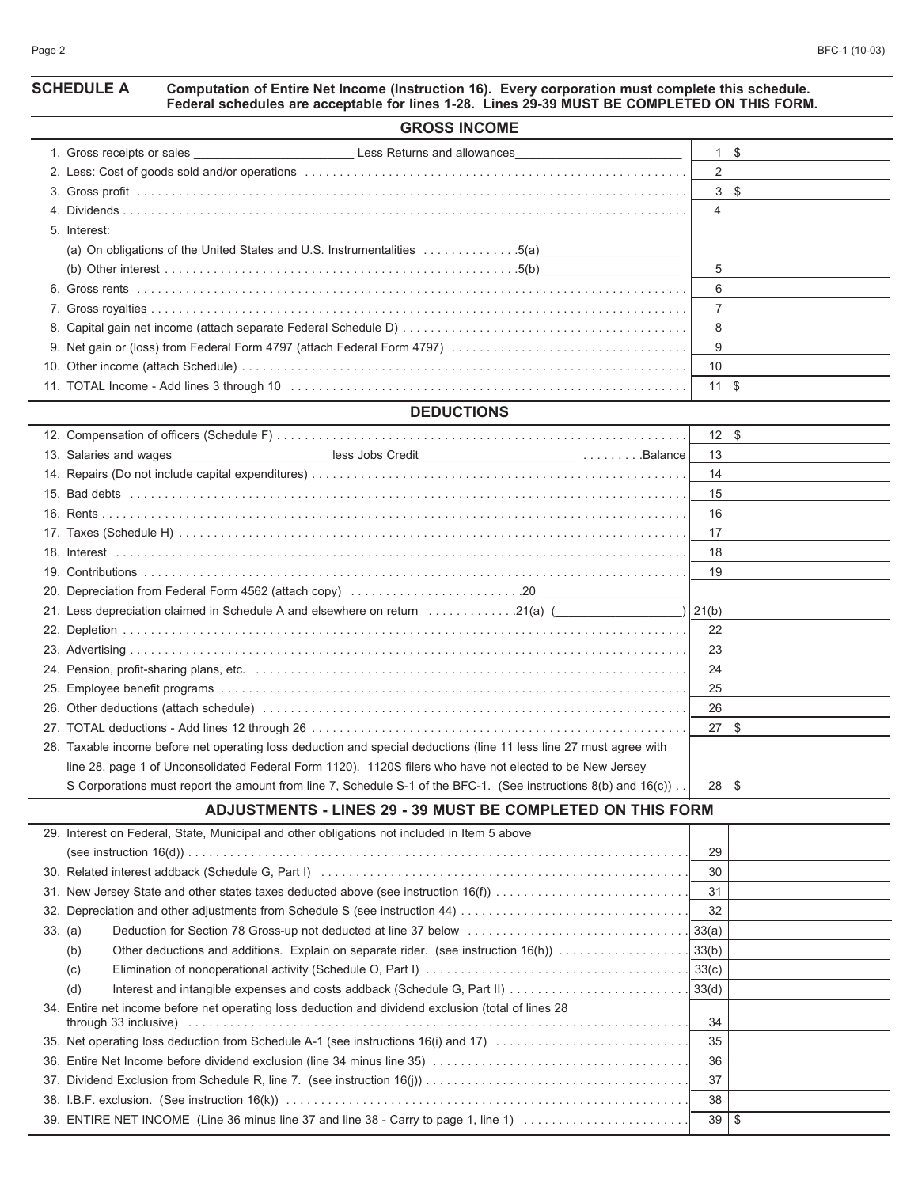#### **SCHEDULE A Computation of Entire Net Income (Instruction 16). Every corporation must complete this schedule. Federal schedules are acceptable for lines 1-28. Lines 29-39 MUST BE COMPLETED ON THIS FORM.**

| <b>GROSS INCOME</b>                                                                                            |              |    |  |  |  |  |  |  |
|----------------------------------------------------------------------------------------------------------------|--------------|----|--|--|--|--|--|--|
| 1. Gross receipts or sales ________________________________Less Returns and allowances________________________ |              | \$ |  |  |  |  |  |  |
|                                                                                                                |              |    |  |  |  |  |  |  |
|                                                                                                                | $\mathbf{3}$ | S  |  |  |  |  |  |  |
|                                                                                                                | 4            |    |  |  |  |  |  |  |
| 5. Interest:                                                                                                   |              |    |  |  |  |  |  |  |
| (a) On obligations of the United States and U.S. Instrumentalities 5(a)                                        |              |    |  |  |  |  |  |  |
|                                                                                                                | 5            |    |  |  |  |  |  |  |
|                                                                                                                | 6            |    |  |  |  |  |  |  |
|                                                                                                                |              |    |  |  |  |  |  |  |
|                                                                                                                | 8            |    |  |  |  |  |  |  |
|                                                                                                                | 9            |    |  |  |  |  |  |  |
|                                                                                                                | 10           |    |  |  |  |  |  |  |
|                                                                                                                | 11           | \$ |  |  |  |  |  |  |
| <b>DEDUCTIONS</b>                                                                                              |              |    |  |  |  |  |  |  |

|                                                                                                                     | 12    | $ $ \$ |
|---------------------------------------------------------------------------------------------------------------------|-------|--------|
|                                                                                                                     | 13    |        |
|                                                                                                                     | 14    |        |
|                                                                                                                     | 15    |        |
|                                                                                                                     | 16    |        |
|                                                                                                                     | 17    |        |
|                                                                                                                     | 18    |        |
|                                                                                                                     | 19    |        |
|                                                                                                                     |       |        |
| 21. Less depreciation claimed in Schedule A and elsewhere on return 21(a) (                                         | 21(b) |        |
|                                                                                                                     | 22    |        |
|                                                                                                                     | 23    |        |
|                                                                                                                     | 24    |        |
|                                                                                                                     | 25    |        |
|                                                                                                                     | 26    |        |
|                                                                                                                     | 27    | l \$   |
| 28. Taxable income before net operating loss deduction and special deductions (line 11 less line 27 must agree with |       |        |
| line 28, page 1 of Unconsolidated Federal Form 1120). 1120S filers who have not elected to be New Jersey            |       |        |
| S Corporations must report the amount from line 7, Schedule S-1 of the BFC-1. (See instructions 8(b) and 16(c))     | 28    | \$     |

#### **ADJUSTMENTS - LINES 29 - 39 MUST BE COMPLETED ON THIS FORM**

| 29. Interest on Federal, State, Municipal and other obligations not included in Item 5 above        |    |    |
|-----------------------------------------------------------------------------------------------------|----|----|
|                                                                                                     | 29 |    |
|                                                                                                     | 30 |    |
| 31. New Jersey State and other states taxes deducted above (see instruction 16(f))                  | 31 |    |
|                                                                                                     | 32 |    |
| 33. (a)                                                                                             |    |    |
| (b)                                                                                                 |    |    |
| (c)                                                                                                 |    |    |
| (d)                                                                                                 |    |    |
| 34. Entire net income before net operating loss deduction and dividend exclusion (total of lines 28 | 34 |    |
| 35. Net operating loss deduction from Schedule A-1 (see instructions 16(i) and 17)                  | 35 |    |
|                                                                                                     | 36 |    |
|                                                                                                     | 37 |    |
|                                                                                                     | 38 |    |
| 39. ENTIRE NET INCOME (Line 36 minus line 37 and line 38 - Carry to page 1, line 1) $\ldots$        | 39 | -S |
|                                                                                                     |    |    |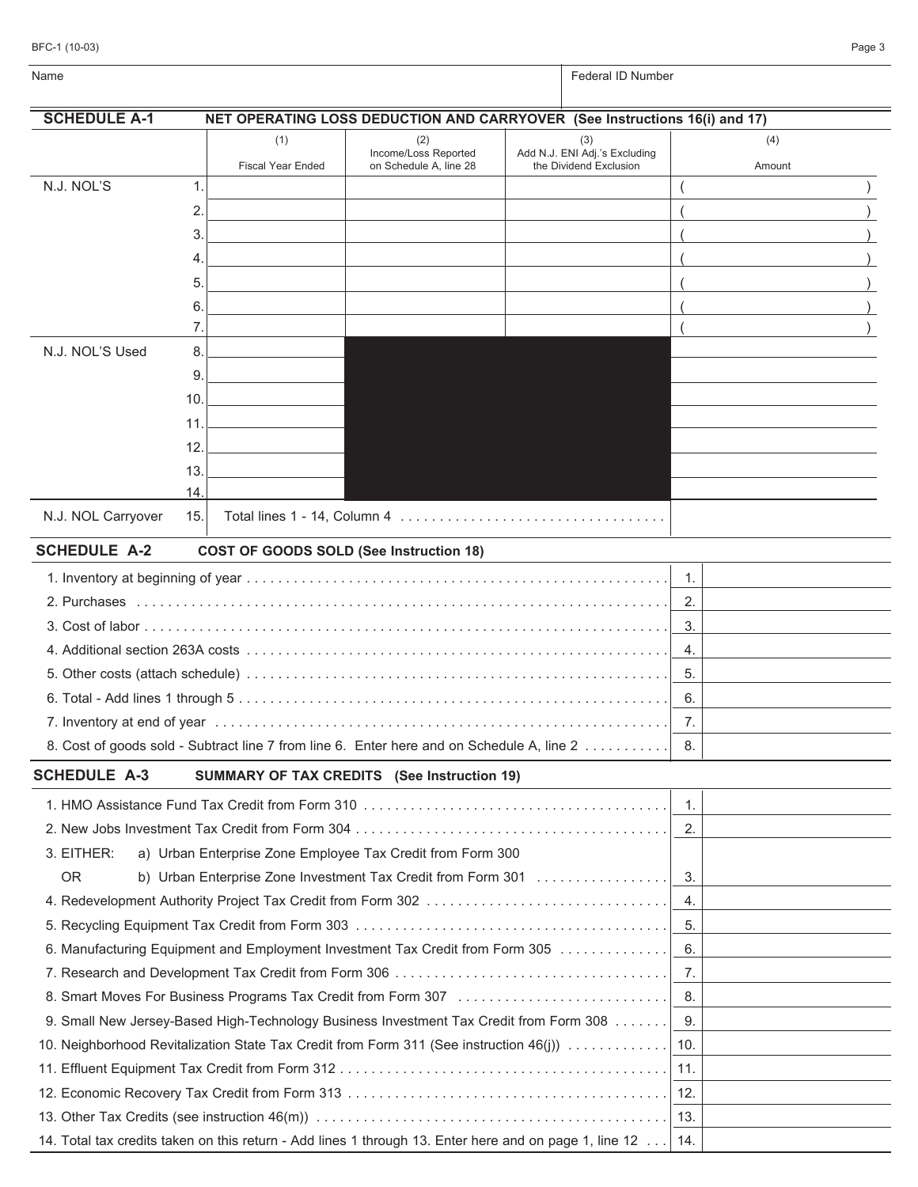| BFC-1 (10-03) |  | Page 3 |  |
|---------------|--|--------|--|
|               |  |        |  |
|               |  |        |  |

| Name                |                                                                                                        |                                                                            | Federal ID Number                                       |                |        |  |
|---------------------|--------------------------------------------------------------------------------------------------------|----------------------------------------------------------------------------|---------------------------------------------------------|----------------|--------|--|
| <b>SCHEDULE A-1</b> |                                                                                                        | NET OPERATING LOSS DEDUCTION AND CARRYOVER (See Instructions 16(i) and 17) |                                                         |                |        |  |
|                     | (1)                                                                                                    | (2)                                                                        | (3)                                                     |                | (4)    |  |
|                     | <b>Fiscal Year Ended</b>                                                                               | Income/Loss Reported<br>on Schedule A, line 28                             | Add N.J. ENI Adj.'s Excluding<br>the Dividend Exclusion |                | Amount |  |
| N.J. NOL'S          | 1.                                                                                                     |                                                                            |                                                         |                |        |  |
|                     | 2.                                                                                                     |                                                                            |                                                         |                |        |  |
|                     | 3.                                                                                                     |                                                                            |                                                         |                |        |  |
|                     | 4.                                                                                                     |                                                                            |                                                         |                |        |  |
|                     | 5.                                                                                                     |                                                                            |                                                         |                |        |  |
|                     | 6.                                                                                                     |                                                                            |                                                         |                |        |  |
|                     | 7.                                                                                                     |                                                                            |                                                         |                |        |  |
| N.J. NOL'S Used     | 8.                                                                                                     |                                                                            |                                                         |                |        |  |
|                     | 9.                                                                                                     |                                                                            |                                                         |                |        |  |
|                     | 10.                                                                                                    |                                                                            |                                                         |                |        |  |
|                     | 11.                                                                                                    |                                                                            |                                                         |                |        |  |
|                     | 12.                                                                                                    |                                                                            |                                                         |                |        |  |
|                     | 13.                                                                                                    |                                                                            |                                                         |                |        |  |
|                     | 14.                                                                                                    |                                                                            |                                                         |                |        |  |
| N.J. NOL Carryover  | 15.                                                                                                    |                                                                            |                                                         |                |        |  |
| <b>SCHEDULE A-2</b> |                                                                                                        | COST OF GOODS SOLD (See Instruction 18)                                    |                                                         |                |        |  |
|                     |                                                                                                        |                                                                            |                                                         | 1.             |        |  |
|                     |                                                                                                        |                                                                            |                                                         | 2.             |        |  |
|                     |                                                                                                        |                                                                            |                                                         | 3.             |        |  |
|                     |                                                                                                        |                                                                            |                                                         | 4.             |        |  |
|                     |                                                                                                        |                                                                            |                                                         | 5.             |        |  |
|                     |                                                                                                        |                                                                            |                                                         | 6.             |        |  |
|                     |                                                                                                        |                                                                            |                                                         | 7.             |        |  |
|                     | 8. Cost of goods sold - Subtract line 7 from line 6. Enter here and on Schedule A, line 2              |                                                                            |                                                         | 8.             |        |  |
| <b>SCHEDULE A-3</b> |                                                                                                        | <b>SUMMARY OF TAX CREDITS</b> (See Instruction 19)                         |                                                         |                |        |  |
|                     |                                                                                                        |                                                                            |                                                         | $\mathbf{1}$ . |        |  |
|                     |                                                                                                        |                                                                            |                                                         | 2.             |        |  |
| 3. EITHER:          | a) Urban Enterprise Zone Employee Tax Credit from Form 300                                             |                                                                            |                                                         |                |        |  |
| <b>OR</b>           | b) Urban Enterprise Zone Investment Tax Credit from Form 301                                           |                                                                            |                                                         | 3.             |        |  |
|                     |                                                                                                        |                                                                            |                                                         | 4.             |        |  |
|                     |                                                                                                        |                                                                            |                                                         | 5.             |        |  |
|                     | 6. Manufacturing Equipment and Employment Investment Tax Credit from Form 305                          |                                                                            |                                                         | 6.             |        |  |
|                     |                                                                                                        |                                                                            |                                                         | 7.             |        |  |
|                     |                                                                                                        |                                                                            |                                                         | 8.             |        |  |
|                     | 9. Small New Jersey-Based High-Technology Business Investment Tax Credit from Form 308                 |                                                                            |                                                         | 9.             |        |  |
|                     | 10. Neighborhood Revitalization State Tax Credit from Form 311 (See instruction 46(j))                 |                                                                            |                                                         | 10.            |        |  |
|                     |                                                                                                        |                                                                            |                                                         | 11.            |        |  |
|                     |                                                                                                        |                                                                            |                                                         | 12.            |        |  |
|                     |                                                                                                        |                                                                            |                                                         | 13.            |        |  |
|                     | 14. Total tax credits taken on this return - Add lines 1 through 13. Enter here and on page 1, line 12 |                                                                            |                                                         | 14.            |        |  |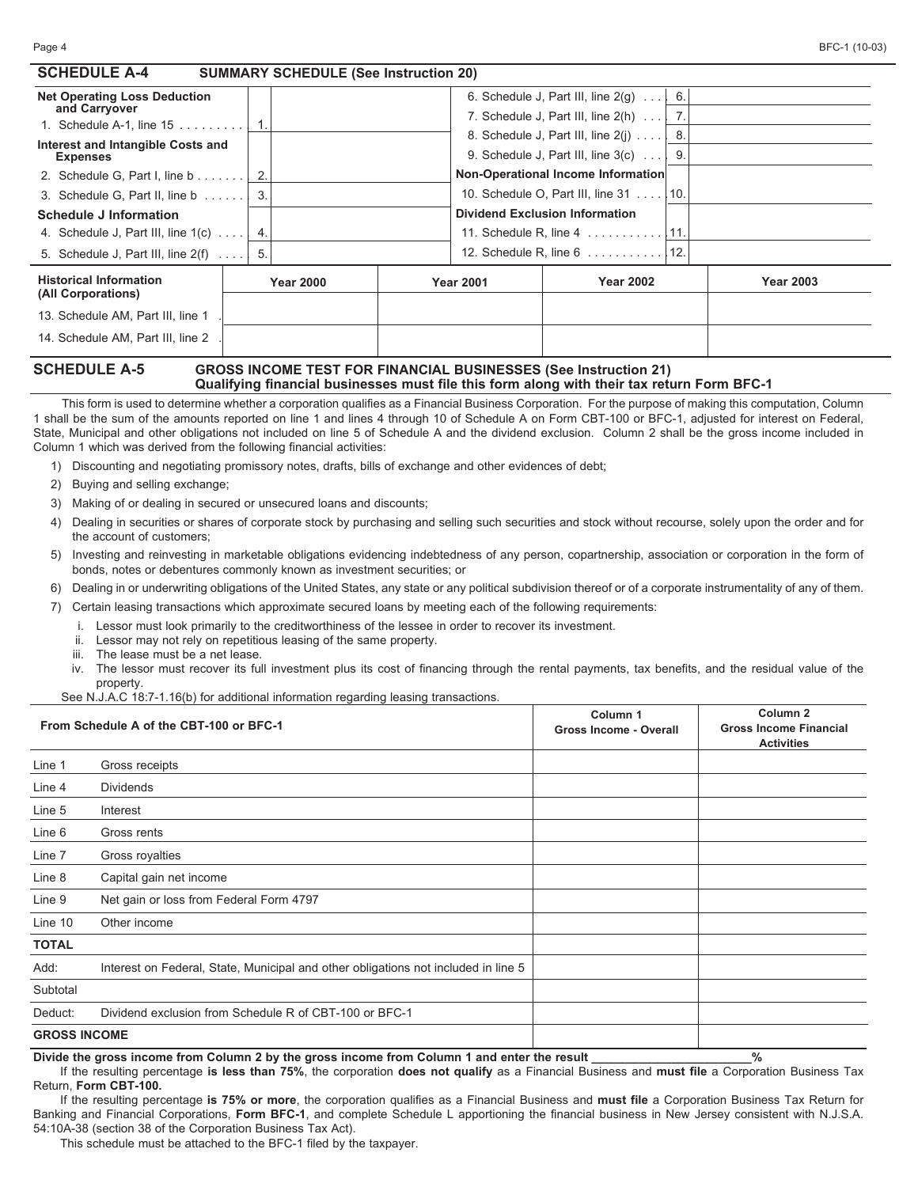| <b>SCHEDULE A-4</b>                                                    | <b>SUMMARY SCHEDULE (See Instruction 20)</b> |                  |                                                                 |                  |
|------------------------------------------------------------------------|----------------------------------------------|------------------|-----------------------------------------------------------------|------------------|
| <b>Net Operating Loss Deduction</b>                                    |                                              |                  | 6. Schedule J, Part III, line $2(q)$ $\mid$ 6.                  |                  |
| and Carryover<br>1. Schedule A-1, line $15$                            |                                              |                  | 7. Schedule J, Part III, line $2(h)$ $\mid$ 7.                  |                  |
| Interest and Intangible Costs and                                      |                                              |                  | 8. Schedule J, Part III, line 2(j)  3.                          |                  |
| <b>Expenses</b>                                                        |                                              |                  | 9. Schedule J, Part III, line $3(c)$ 9.                         |                  |
| 2. Schedule G, Part I, line $b \ldots l$ 2.                            |                                              |                  | Non-Operational Income Information                              |                  |
| 3. Schedule G, Part II, line $b$ 3.                                    |                                              |                  | 10. Schedule O, Part III, line 31 10.                           |                  |
| <b>Schedule J Information</b>                                          |                                              |                  | <b>Dividend Exclusion Information</b>                           |                  |
| 4. Schedule J, Part III, line $1(c)$   4.                              |                                              |                  | 11. Schedule R, line 4 11.                                      |                  |
| 5. Schedule J, Part III, line $2(f)$ $\begin{vmatrix} 5 \end{vmatrix}$ |                                              |                  | 12. Schedule R, line 6 12.                                      |                  |
| <b>Historical Information</b><br>(All Corporations)                    | <b>Year 2000</b>                             | <b>Year 2001</b> | <b>Year 2002</b>                                                | <b>Year 2003</b> |
| 13. Schedule AM, Part III, line 1                                      |                                              |                  |                                                                 |                  |
| 14. Schedule AM, Part III, line 2                                      |                                              |                  |                                                                 |                  |
| CALCNIE A E                                                            |                                              |                  | COOCO INCOME TECT FOD FINANCIAL DUCINECCES (See Instrumento AA) |                  |

#### **SCHEDULE A-5 GROSS INCOME TEST FOR FINANCIAL BUSINESSES (See Instruction 21) Qualifying financial businesses must file this form along with their tax return Form BFC-1**

This form is used to determine whether a corporation qualifies as a Financial Business Corporation. For the purpose of making this computation, Column 1 shall be the sum of the amounts reported on line 1 and lines 4 through 10 of Schedule A on Form CBT-100 or BFC-1, adjusted for interest on Federal, State, Municipal and other obligations not included on line 5 of Schedule A and the dividend exclusion. Column 2 shall be the gross income included in Column 1 which was derived from the following financial activities:

1) Discounting and negotiating promissory notes, drafts, bills of exchange and other evidences of debt;

2) Buying and selling exchange;

3) Making of or dealing in secured or unsecured loans and discounts;

- 4) Dealing in securities or shares of corporate stock by purchasing and selling such securities and stock without recourse, solely upon the order and for the account of customers;
- 5) Investing and reinvesting in marketable obligations evidencing indebtedness of any person, copartnership, association or corporation in the form of bonds, notes or debentures commonly known as investment securities; or
- 6) Dealing in or underwriting obligations of the United States, any state or any political subdivision thereof or of a corporate instrumentality of any of them.
- 7) Certain leasing transactions which approximate secured loans by meeting each of the following requirements:
	- i. Lessor must look primarily to the creditworthiness of the lessee in order to recover its investment.
	- ii. Lessor may not rely on repetitious leasing of the same property.
	- iii. The lease must be a net lease.
	- iv. The lessor must recover its full investment plus its cost of financing through the rental payments, tax benefits, and the residual value of the property.

See N.J.A.C 18:7-1.16(b) for additional information regarding leasing transactions.

|                     | From Schedule A of the CBT-100 or BFC-1                                            | Column 1<br><b>Gross Income - Overall</b> | Column <sub>2</sub><br><b>Gross Income Financial</b><br><b>Activities</b> |
|---------------------|------------------------------------------------------------------------------------|-------------------------------------------|---------------------------------------------------------------------------|
| Line 1              | Gross receipts                                                                     |                                           |                                                                           |
| Line 4              | <b>Dividends</b>                                                                   |                                           |                                                                           |
| Line 5              | Interest                                                                           |                                           |                                                                           |
| Line 6              | Gross rents                                                                        |                                           |                                                                           |
| Line 7              | Gross royalties                                                                    |                                           |                                                                           |
| Line 8              | Capital gain net income                                                            |                                           |                                                                           |
| Line 9              | Net gain or loss from Federal Form 4797                                            |                                           |                                                                           |
| Line 10             | Other income                                                                       |                                           |                                                                           |
| <b>TOTAL</b>        |                                                                                    |                                           |                                                                           |
| Add:                | Interest on Federal, State, Municipal and other obligations not included in line 5 |                                           |                                                                           |
| Subtotal            |                                                                                    |                                           |                                                                           |
| Deduct:             | Dividend exclusion from Schedule R of CBT-100 or BFC-1                             |                                           |                                                                           |
| <b>GROSS INCOME</b> |                                                                                    |                                           |                                                                           |

**Divide the gross income from Column 2 by the gross income from Column 1 and enter the result \_\_\_\_\_\_\_\_\_\_\_\_\_\_\_\_\_\_\_\_\_\_\_\_%**

If the resulting percentage **is less than 75%**, the corporation **does not qualify** as a Financial Business and **must file** a Corporation Business Tax Return, **Form CBT-100.**

If the resulting percentage **is 75% or more**, the corporation qualifies as a Financial Business and **must file** a Corporation Business Tax Return for Banking and Financial Corporations, **Form BFC-1**, and complete Schedule L apportioning the financial business in New Jersey consistent with N.J.S.A. 54:10A-38 (section 38 of the Corporation Business Tax Act).

This schedule must be attached to the BFC-1 filed by the taxpayer.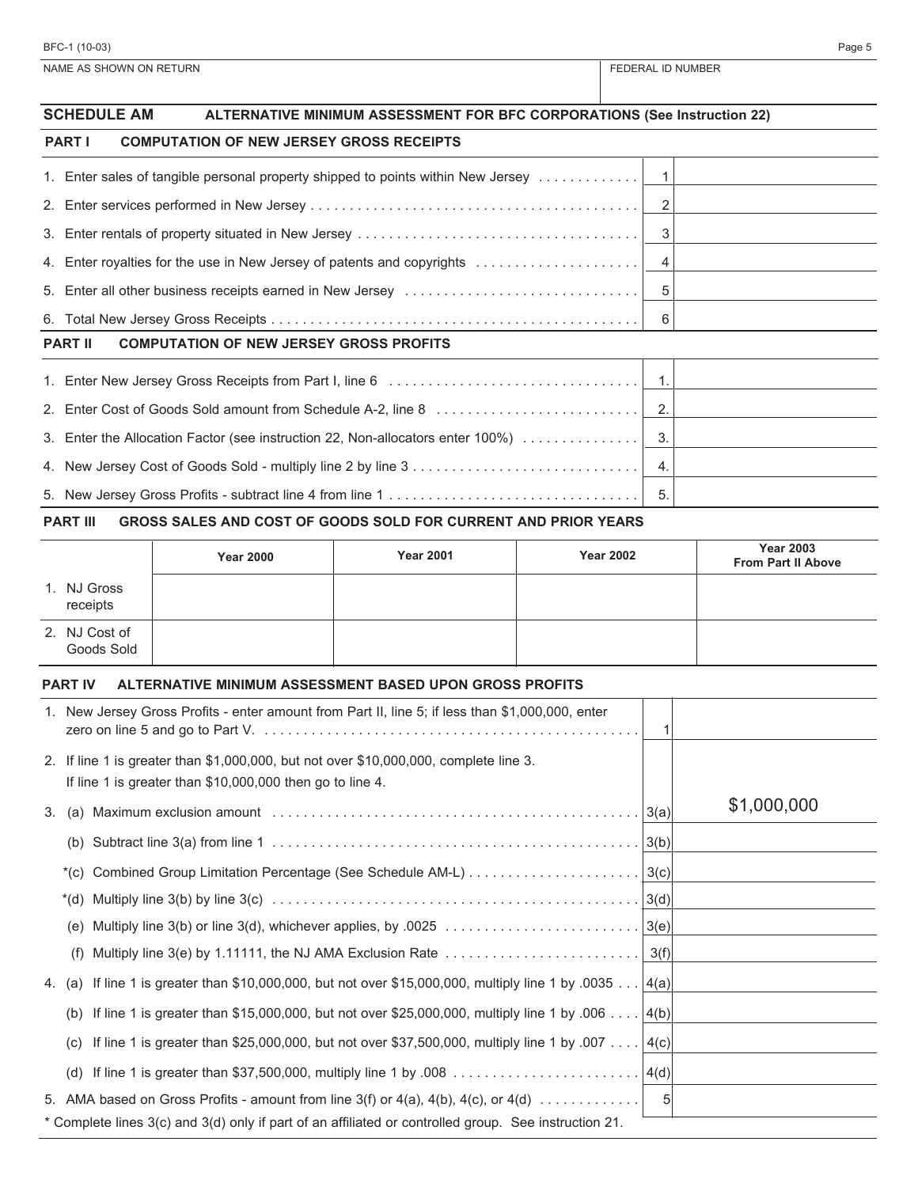| <b>SCHEDULE AM</b><br><b>ALTERNATIVE MINIMUM ASSESSMENT FOR BFC CORPORATIONS (See Instruction 22)</b> |            |  |
|-------------------------------------------------------------------------------------------------------|------------|--|
| <b>PART I</b><br><b>COMPUTATION OF NEW JERSEY GROSS RECEIPTS</b>                                      |            |  |
| 1. Enter sales of tangible personal property shipped to points within New Jersey                      | $\lceil$ 1 |  |
|                                                                                                       | 2          |  |
|                                                                                                       | 3          |  |
| 4. Enter royalties for the use in New Jersey of patents and copyrights                                | 4          |  |
|                                                                                                       |            |  |
|                                                                                                       | 6          |  |
| <b>PART II</b><br><b>COMPUTATION OF NEW JERSEY GROSS PROFITS</b>                                      |            |  |
|                                                                                                       |            |  |
|                                                                                                       |            |  |
| 3. Enter the Allocation Factor (see instruction 22, Non-allocators enter 100%)                        | 3.         |  |
|                                                                                                       | 4.         |  |
|                                                                                                       |            |  |

#### **PART III GROSS SALES AND COST OF GOODS SOLD FOR CURRENT AND PRIOR YEARS**

|                             | <b>Year 2000</b> | <b>Year 2001</b> | <b>Year 2002</b> | <b>Year 2003</b><br><b>From Part II Above</b> |
|-----------------------------|------------------|------------------|------------------|-----------------------------------------------|
| 1. NJ Gross<br>receipts     |                  |                  |                  |                                               |
| 2. NJ Cost of<br>Goods Sold |                  |                  |                  |                                               |

#### **PART IV ALTERNATIVE MINIMUM ASSESSMENT BASED UPON GROSS PROFITS**

|                                                                                                                                                    | 1. New Jersey Gross Profits - enter amount from Part II, line 5; if less than \$1,000,000, enter          |      |             |  |
|----------------------------------------------------------------------------------------------------------------------------------------------------|-----------------------------------------------------------------------------------------------------------|------|-------------|--|
| 2. If line 1 is greater than \$1,000,000, but not over \$10,000,000, complete line 3.<br>If line 1 is greater than \$10,000,000 then go to line 4. |                                                                                                           |      |             |  |
|                                                                                                                                                    |                                                                                                           |      | \$1,000,000 |  |
|                                                                                                                                                    |                                                                                                           |      |             |  |
|                                                                                                                                                    |                                                                                                           |      |             |  |
|                                                                                                                                                    |                                                                                                           |      |             |  |
| (e)                                                                                                                                                |                                                                                                           |      |             |  |
| (f)                                                                                                                                                | Multiply line 3(e) by 1.11111, the NJ AMA Exclusion Rate $\dots\dots\dots\dots\dots\dots\dots\dots\dots$  | 3(f) |             |  |
|                                                                                                                                                    | 4. (a) If line 1 is greater than \$10,000,000, but not over \$15,000,000, multiply line 1 by .0035 [4(a)] |      |             |  |
| (b)                                                                                                                                                | If line 1 is greater than \$15,000,000, but not over \$25,000,000, multiply line 1 by .006 $ 4(b) $       |      |             |  |
| (C)                                                                                                                                                | If line 1 is greater than \$25,000,000, but not over \$37,500,000, multiply line 1 by .007   4(c)         |      |             |  |
|                                                                                                                                                    |                                                                                                           |      |             |  |
|                                                                                                                                                    | 5. AMA based on Gross Profits - amount from line 3(f) or $4(a)$ , $4(b)$ , $4(c)$ , or $4(d)$             | -51  |             |  |
| * Complete lines 3(c) and 3(d) only if part of an affiliated or controlled group. See instruction 21.                                              |                                                                                                           |      |             |  |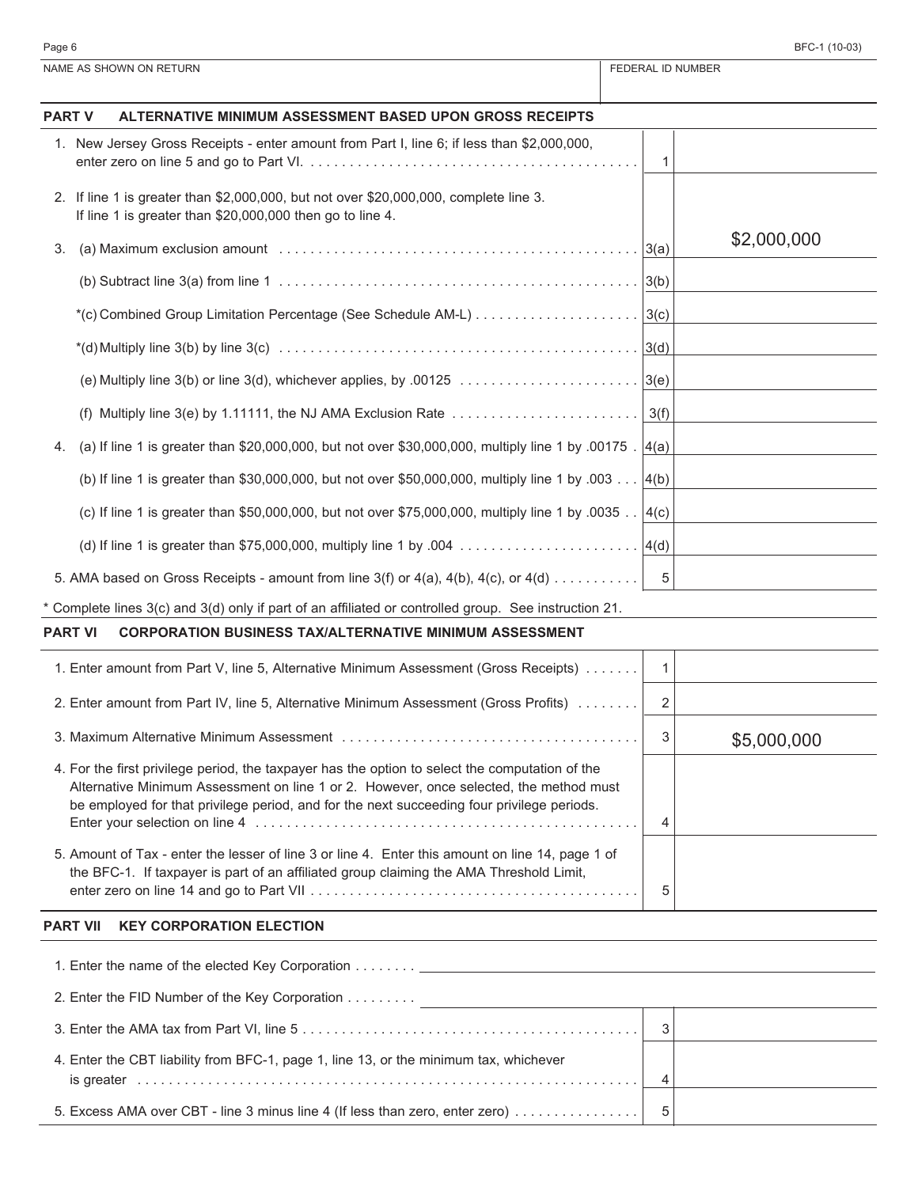| Page 6 | BFC-1 (10-03) |
|--------|---------------|
|--------|---------------|

| NAME AS SHOWN ON RETURN |                                                                                                                                                                                                                                                                                         |              | FEDERAL ID NUMBER |  |  |
|-------------------------|-----------------------------------------------------------------------------------------------------------------------------------------------------------------------------------------------------------------------------------------------------------------------------------------|--------------|-------------------|--|--|
| <b>PART V</b>           | ALTERNATIVE MINIMUM ASSESSMENT BASED UPON GROSS RECEIPTS                                                                                                                                                                                                                                |              |                   |  |  |
|                         | 1. New Jersey Gross Receipts - enter amount from Part I, line 6; if less than \$2,000,000,                                                                                                                                                                                              | 1            |                   |  |  |
|                         | 2. If line 1 is greater than \$2,000,000, but not over \$20,000,000, complete line 3.<br>If line 1 is greater than \$20,000,000 then go to line 4.                                                                                                                                      |              |                   |  |  |
| 3.                      |                                                                                                                                                                                                                                                                                         |              | \$2,000,000       |  |  |
|                         |                                                                                                                                                                                                                                                                                         |              |                   |  |  |
|                         |                                                                                                                                                                                                                                                                                         |              |                   |  |  |
|                         |                                                                                                                                                                                                                                                                                         |              |                   |  |  |
|                         |                                                                                                                                                                                                                                                                                         |              |                   |  |  |
|                         | (f) Multiply line 3(e) by 1.11111, the NJ AMA Exclusion Rate $\dots\dots\dots\dots\dots\dots\dots\dots\dots$                                                                                                                                                                            | 3(f)         |                   |  |  |
| 4.                      | (a) If line 1 is greater than \$20,000,000, but not over \$30,000,000, multiply line 1 by .00175 . $ 4(a)$                                                                                                                                                                              |              |                   |  |  |
|                         | (b) If line 1 is greater than \$30,000,000, but not over \$50,000,000, multiply line 1 by .003 $ 4(b)$                                                                                                                                                                                  |              |                   |  |  |
|                         | (c) If line 1 is greater than \$50,000,000, but not over \$75,000,000, multiply line 1 by .0035 $ 4(c)$                                                                                                                                                                                 |              |                   |  |  |
|                         |                                                                                                                                                                                                                                                                                         |              |                   |  |  |
|                         | 5. AMA based on Gross Receipts - amount from line 3(f) or $4(a)$ , $4(b)$ , $4(c)$ , or $4(d)$                                                                                                                                                                                          | 5            |                   |  |  |
|                         | * Complete lines 3(c) and 3(d) only if part of an affiliated or controlled group. See instruction 21.                                                                                                                                                                                   |              |                   |  |  |
| <b>PART VI</b>          | <b>CORPORATION BUSINESS TAX/ALTERNATIVE MINIMUM ASSESSMENT</b>                                                                                                                                                                                                                          |              |                   |  |  |
|                         | 1. Enter amount from Part V, line 5, Alternative Minimum Assessment (Gross Receipts)                                                                                                                                                                                                    | $\mathbf{1}$ |                   |  |  |
|                         | 2. Enter amount from Part IV, line 5, Alternative Minimum Assessment (Gross Profits)                                                                                                                                                                                                    | 2            |                   |  |  |
|                         |                                                                                                                                                                                                                                                                                         | 3            | \$5,000,000       |  |  |
|                         | 4. For the first privilege period, the taxpayer has the option to select the computation of the<br>Alternative Minimum Assessment on line 1 or 2. However, once selected, the method must<br>be employed for that privilege period, and for the next succeeding four privilege periods. | 4            |                   |  |  |
|                         | 5. Amount of Tax - enter the lesser of line 3 or line 4. Enter this amount on line 14, page 1 of<br>the BFC-1. If taxpayer is part of an affiliated group claiming the AMA Threshold Limit,                                                                                             | 5            |                   |  |  |
| <b>PART VII</b>         | <b>KEY CORPORATION ELECTION</b>                                                                                                                                                                                                                                                         |              |                   |  |  |
|                         |                                                                                                                                                                                                                                                                                         |              |                   |  |  |
|                         |                                                                                                                                                                                                                                                                                         |              |                   |  |  |
|                         |                                                                                                                                                                                                                                                                                         | $\mathbf{3}$ |                   |  |  |
|                         | 4. Enter the CBT liability from BFC-1, page 1, line 13, or the minimum tax, whichever                                                                                                                                                                                                   | 4            |                   |  |  |
|                         | 5. Excess AMA over CBT - line 3 minus line 4 (If less than zero, enter zero)                                                                                                                                                                                                            | 5            |                   |  |  |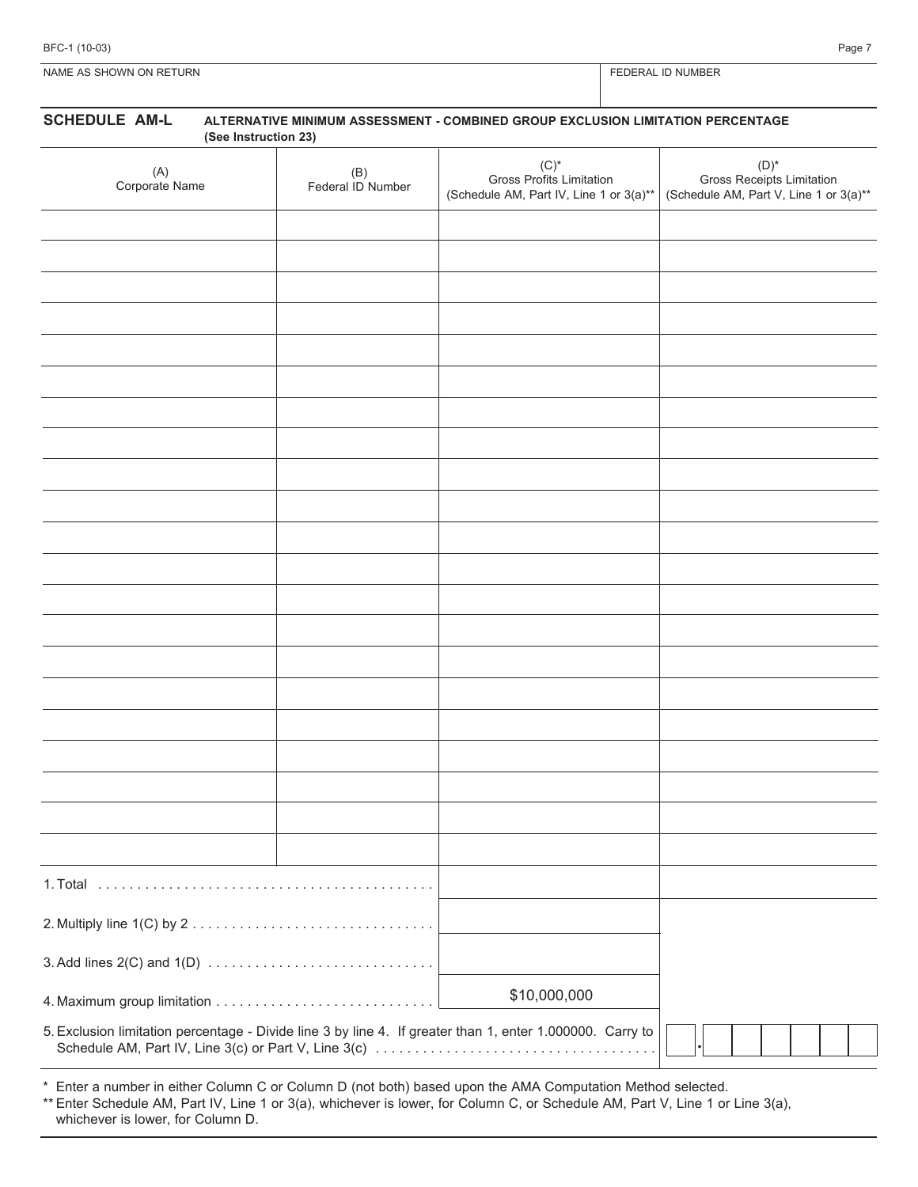| BFC-1 (10-03) | Page 7 |  |
|---------------|--------|--|
|               |        |  |

NAME AS SHOWN ON RETURN FEDERAL ID NUMBER

# **SCHEDULE AM-L ALTERNATIVE MINIMUM ASSESSMENT - COMBINED GROUP EXCLUSION LIMITATION PERCENTAGE (See Instruction 23)** (A) Corporate Name (B) Federal ID Number  $(C)^*$ Gross Profits Limitation (Schedule AM, Part IV, Line 1 or 3(a)\*\*  $(D)^*$ Gross Receipts Limitation (Schedule AM, Part V, Line 1 or 3(a)\*\* 1. Total  $\ldots \ldots \ldots \ldots \ldots \ldots \ldots \ldots \ldots \ldots \ldots \ldots \ldots$ 2. Multiply line 1(C) by 2 . . . . . . . . . . . . . . . . . . . . . . . . . . . . . . . 3. Add lines 2(C) and 1(D) . . . . . . . . . . . . . . . . . . . . . . . . . . . . . 4. Maximum group limitation . . . . . . . . . . . . . . . . . . . . . . . . . . . . 5. Exclusion limitation percentage - Divide line 3 by line 4. If greater than 1, enter 1.000000. Carry to Schedule AM, Part IV, Line 3(c) or Part V, Line 3(c) . . . . . . . . . . . . . . . . . . . . . . . . . . . . . . . . . . . . \$10,000,000 . \* Enter a number in either Column C or Column D (not both) based upon the AMA Computation Method selected.

\*\* Enter Schedule AM, Part IV, Line 1 or 3(a), whichever is lower, for Column C, or Schedule AM, Part V, Line 1 or Line 3(a), whichever is lower, for Column D.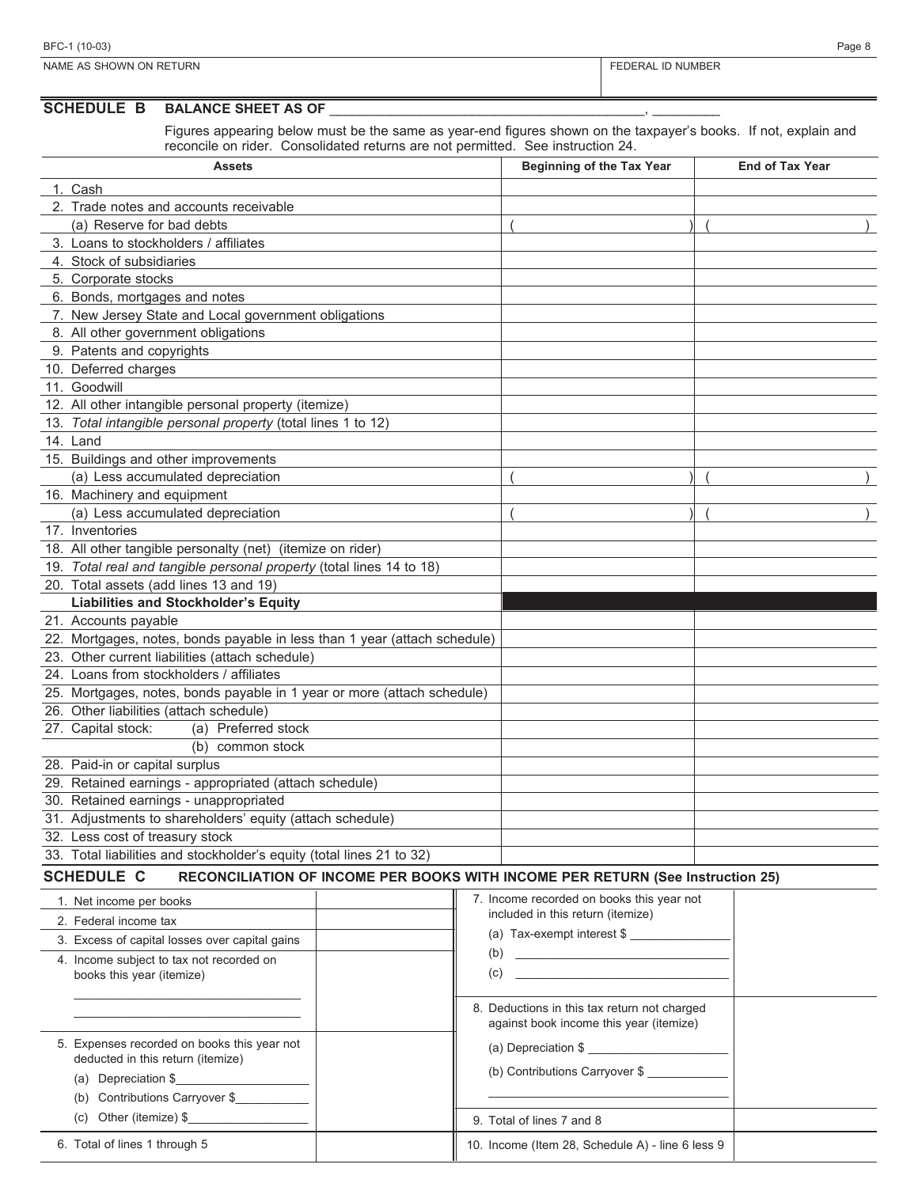| <b>NUMBER</b> |  |
|---------------|--|

| <b>NAME</b><br>ON RETURN<br><b>NVN</b><br>△ ⇔<br><b>SHC</b> | NUMBEF ו<br>:RAI |
|-------------------------------------------------------------|------------------|
|                                                             |                  |

#### SCHEDULE **B** BALANCE SHEET AS OF

Figures appearing below must be the same as year-end figures shown on the taxpayer's books. If not, explain and reconcile on rider. Consolidated returns are not permitted. See instruction 24.

| ICCONCIC ON NOCK. CONSUMERCE FORMIS ENC NOT PONTINUOL. OCC INSTITUCION 27<br>Assets                 |     | Beginning of the Tax Year                 | <b>End of Tax Year</b> |
|-----------------------------------------------------------------------------------------------------|-----|-------------------------------------------|------------------------|
| 1. Cash                                                                                             |     |                                           |                        |
| 2. Trade notes and accounts receivable                                                              |     |                                           |                        |
| (a) Reserve for bad debts                                                                           |     |                                           |                        |
| 3. Loans to stockholders / affiliates                                                               |     |                                           |                        |
| 4. Stock of subsidiaries                                                                            |     |                                           |                        |
| 5. Corporate stocks                                                                                 |     |                                           |                        |
| 6. Bonds, mortgages and notes                                                                       |     |                                           |                        |
| 7. New Jersey State and Local government obligations                                                |     |                                           |                        |
| 8. All other government obligations                                                                 |     |                                           |                        |
| 9. Patents and copyrights                                                                           |     |                                           |                        |
| 10. Deferred charges                                                                                |     |                                           |                        |
| 11. Goodwill                                                                                        |     |                                           |                        |
| 12. All other intangible personal property (itemize)                                                |     |                                           |                        |
| 13. Total intangible personal property (total lines 1 to 12)                                        |     |                                           |                        |
| 14. Land                                                                                            |     |                                           |                        |
|                                                                                                     |     |                                           |                        |
| 15. Buildings and other improvements                                                                |     |                                           |                        |
| (a) Less accumulated depreciation                                                                   |     |                                           |                        |
| 16. Machinery and equipment                                                                         |     |                                           |                        |
| (a) Less accumulated depreciation                                                                   |     |                                           |                        |
| 17. Inventories                                                                                     |     |                                           |                        |
| 18. All other tangible personalty (net) (itemize on rider)                                          |     |                                           |                        |
| 19. Total real and tangible personal property (total lines 14 to 18)                                |     |                                           |                        |
| 20. Total assets (add lines 13 and 19)                                                              |     |                                           |                        |
| <b>Liabilities and Stockholder's Equity</b>                                                         |     |                                           |                        |
| 21. Accounts payable                                                                                |     |                                           |                        |
| 22. Mortgages, notes, bonds payable in less than 1 year (attach schedule)                           |     |                                           |                        |
| 23. Other current liabilities (attach schedule)                                                     |     |                                           |                        |
| 24. Loans from stockholders / affiliates                                                            |     |                                           |                        |
| 25. Mortgages, notes, bonds payable in 1 year or more (attach schedule)                             |     |                                           |                        |
| 26. Other liabilities (attach schedule)                                                             |     |                                           |                        |
| 27. Capital stock:<br>(a) Preferred stock                                                           |     |                                           |                        |
| (b)<br>common stock                                                                                 |     |                                           |                        |
| 28. Paid-in or capital surplus                                                                      |     |                                           |                        |
| 29. Retained earnings - appropriated (attach schedule)                                              |     |                                           |                        |
| 30. Retained earnings - unappropriated                                                              |     |                                           |                        |
| 31. Adjustments to shareholders' equity (attach schedule)                                           |     |                                           |                        |
| 32. Less cost of treasury stock                                                                     |     |                                           |                        |
| 33. Total liabilities and stockholder's equity (total lines 21 to 32)                               |     |                                           |                        |
| <b>SCHEDULE C</b><br>RECONCILIATION OF INCOME PER BOOKS WITH INCOME PER RETURN (See Instruction 25) |     |                                           |                        |
| 1. Net income per books                                                                             |     | 7. Income recorded on books this year not |                        |
| 2. Federal income tax                                                                               |     | included in this return (itemize)         |                        |
| 3. Excess of capital losses over capital gains                                                      |     | (a) Tax-exempt interest \$                |                        |
| 4. Income subject to tax not recorded on                                                            | (b) |                                           |                        |
| books this year (itemize)                                                                           | (c) |                                           |                        |
|                                                                                                     |     |                                           |                        |

8. Deductions in this tax return not charged against book income this year (itemize)

 $\mathcal{L}_\text{max}$  and  $\mathcal{L}_\text{max}$  and  $\mathcal{L}_\text{max}$  and  $\mathcal{L}_\text{max}$ 

10. Income (Item 28, Schedule A) - line 6 less 9

| (b) Contributions Carryover \$ |  |
|--------------------------------|--|
|                                |  |

(a) Depreciation \$

9. Total of lines 7 and 8

| (a) Depreciation \$            |
|--------------------------------|
| (b) Contributions Carryover \$ |

 $\_$  . The set of the set of the set of the set of the set of the set of the set of the set of the set of the set of the set of the set of the set of the set of the set of the set of the set of the set of the set of the se

5. Expenses recorded on books this year not deducted in this return (itemize)

| $(D)$ Continuations Carryover $\psi$ |
|--------------------------------------|
| (c) Other (itemize) $\S$             |

6. Total of lines 1 through 5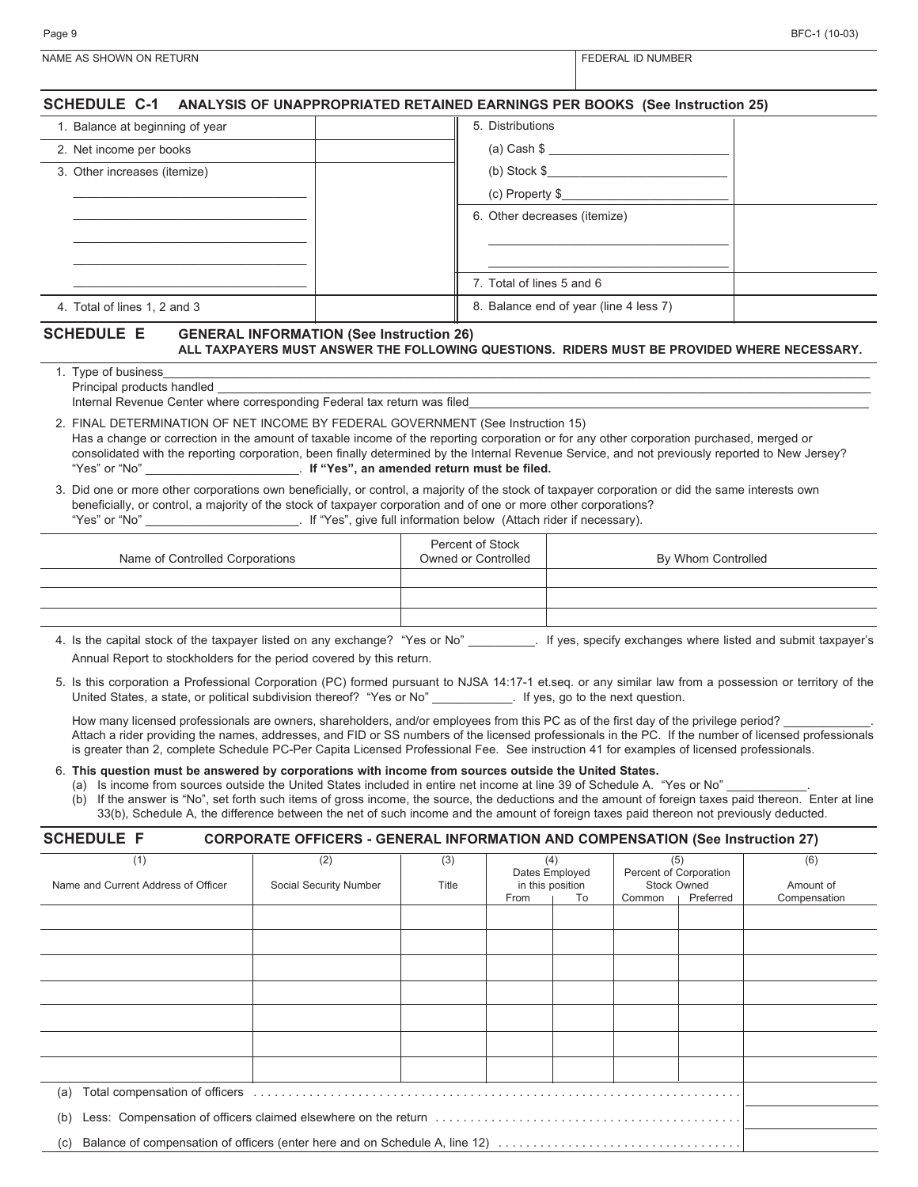| BFC-1 (10-03) |  |
|---------------|--|

| Page 9                          | BFC-1 (10-03)                                                                            |
|---------------------------------|------------------------------------------------------------------------------------------|
| NAME AS SHOWN ON RETURN         | FEDERAL ID NUMBER                                                                        |
|                                 | SCHEDULE C-1 ANALYSIS OF UNAPPROPRIATED RETAINED EARNINGS PER BOOKS (See Instruction 25) |
| 1. Balance at beginning of year | 5. Distributions                                                                         |
| 2. Net income per books         | (a) Cash \$                                                                              |
| 3. Other increases (itemize)    | (b) Stock $$$                                                                            |
|                                 | (c) Property \$                                                                          |

6. Other decreases (itemize)

7. Total of lines 5 and 6

**ALL TAXPAYERS MUST ANSWER THE FOLLOWING QUESTIONS. RIDERS MUST BE PROVIDED WHERE NECESSARY.**

8. Balance end of year (line 4 less 7)

 $\_$  . The contribution of the contribution of  $\mathcal{L}_\mathcal{A}$  $\_$  . The contribution of the contribution of  $\mathcal{L}_\mathcal{A}$ 

| I. Type of business                                                                                                                                                                                                                                                                                               |
|-------------------------------------------------------------------------------------------------------------------------------------------------------------------------------------------------------------------------------------------------------------------------------------------------------------------|
| Principal products handled                                                                                                                                                                                                                                                                                        |
| Internal Revenue Center where corresponding Federal tax return was filed                                                                                                                                                                                                                                          |
| 2. FINAL DETERMINATION OF NET INCOME BY FEDERAL GOVERNMENT (See Instruction 15)<br>The a change of concelled in the concernt of terrible increme of the monopolical concention of for any college concentration included any concentration of the second and the second concentration of the second concentration |

**SCHEDULE E GENERAL INFORMATION (See Instruction 26)**

 $\_$  . The contribution of the contribution of  $\mathcal{L}_\mathcal{A}$ \_\_\_\_\_\_\_\_\_\_\_\_\_\_\_\_\_\_\_\_\_\_\_\_\_\_\_\_\_\_\_\_\_\_\_ \_\_\_\_\_\_\_\_\_\_\_\_\_\_\_\_\_\_\_\_\_\_\_\_\_\_\_\_\_\_\_\_\_\_\_ \_\_\_\_\_\_\_\_\_\_\_\_\_\_\_\_\_\_\_\_\_\_\_\_\_\_\_\_\_\_\_\_\_\_\_

4. Total of lines 1, 2 and 3

Has a change or correction in the amount of taxable income of the reporting corporation or for any other corporation purchased, merged or consolidated with the reporting corporation, been finally determined by the Internal Revenue Service, and not previously reported to New Jersey? "Yes" or "No" \_\_\_\_\_\_\_\_\_\_\_\_\_\_\_\_\_\_\_\_\_\_\_. **If "Yes", an amended return must be filed.**

|               | 3. Did one or more other corporations own beneficially, or control, a majority of the stock of taxpayer corporation or did the same interests own |
|---------------|---------------------------------------------------------------------------------------------------------------------------------------------------|
|               | beneficially, or control, a majority of the stock of taxpayer corporation and of one or more other corporations?                                  |
| "Yes" or "No" | . If "Yes", give full information below (Attach rider if necessary).                                                                              |

| Percent of Stock<br>Owned or Controlled | By Whom Controlled |
|-----------------------------------------|--------------------|
|                                         |                    |
|                                         |                    |
|                                         |                    |
|                                         |                    |

- 4. Is the capital stock of the taxpayer listed on any exchange? "Yes or No" \_\_\_\_\_\_\_\_\_\_. If yes, specify exchanges where listed and submit taxpayer's Annual Report to stockholders for the period covered by this return.
- 5. Is this corporation a Professional Corporation (PC) formed pursuant to NJSA 14:17-1 et.seq. or any similar law from a possession or territory of the United States, a state, or political subdivision thereof? "Yes or No" \_\_\_\_\_\_\_\_\_\_\_. If yes, go to the next question.

How many licensed professionals are owners, shareholders, and/or employees from this PC as of the first day of the privilege period? Attach a rider providing the names, addresses, and FID or SS numbers of the licensed professionals in the PC. If the number of licensed professionals is greater than 2, complete Schedule PC-Per Capita Licensed Professional Fee. See instruction 41 for examples of licensed professionals.

6. **This question must be answered by corporations with income from sources outside the United States.**

(a) Is income from sources outside the United States included in entire net income at line 39 of Schedule A. "Yes or No"

(b) If the answer is "No", set forth such items of gross income, the source, the deductions and the amount of foreign taxes paid thereon. Enter at line 33(b), Schedule A, the difference between the net of such income and the amount of foreign taxes paid thereon not previously deducted.

# **SCHEDULE F CORPORATE OFFICERS - GENERAL INFORMATION AND COMPENSATION (See Instruction 27)**

| (1)                                                                                                                                                                                                                           | (2)                    | (3)   |      | (4)              | (5) |                    | (6)          |                        |  |  |  |
|-------------------------------------------------------------------------------------------------------------------------------------------------------------------------------------------------------------------------------|------------------------|-------|------|------------------|-----|--------------------|--------------|------------------------|--|--|--|
|                                                                                                                                                                                                                               |                        |       |      | Dates Employed   |     |                    |              | Percent of Corporation |  |  |  |
| Name and Current Address of Officer                                                                                                                                                                                           | Social Security Number | Title |      | in this position |     | <b>Stock Owned</b> | Amount of    |                        |  |  |  |
|                                                                                                                                                                                                                               |                        |       | From | To<br>Common     |     | Preferred          | Compensation |                        |  |  |  |
|                                                                                                                                                                                                                               |                        |       |      |                  |     |                    |              |                        |  |  |  |
|                                                                                                                                                                                                                               |                        |       |      |                  |     |                    |              |                        |  |  |  |
|                                                                                                                                                                                                                               |                        |       |      |                  |     |                    |              |                        |  |  |  |
|                                                                                                                                                                                                                               |                        |       |      |                  |     |                    |              |                        |  |  |  |
|                                                                                                                                                                                                                               |                        |       |      |                  |     |                    |              |                        |  |  |  |
|                                                                                                                                                                                                                               |                        |       |      |                  |     |                    |              |                        |  |  |  |
|                                                                                                                                                                                                                               |                        |       |      |                  |     |                    |              |                        |  |  |  |
|                                                                                                                                                                                                                               |                        |       |      |                  |     |                    |              |                        |  |  |  |
|                                                                                                                                                                                                                               |                        |       |      |                  |     |                    |              |                        |  |  |  |
|                                                                                                                                                                                                                               |                        |       |      |                  |     |                    |              |                        |  |  |  |
|                                                                                                                                                                                                                               |                        |       |      |                  |     |                    |              |                        |  |  |  |
|                                                                                                                                                                                                                               |                        |       |      |                  |     |                    |              |                        |  |  |  |
|                                                                                                                                                                                                                               |                        |       |      |                  |     |                    |              |                        |  |  |  |
| (a) Total compensation of officers (a) in the content of the content of the content of the content of the content of the content of the content of the content of the content of the content of the content of the content of |                        |       |      |                  |     |                    |              |                        |  |  |  |
|                                                                                                                                                                                                                               |                        |       |      |                  |     |                    |              |                        |  |  |  |
| (b)                                                                                                                                                                                                                           |                        |       |      |                  |     |                    |              |                        |  |  |  |
| (c)                                                                                                                                                                                                                           |                        |       |      |                  |     |                    |              |                        |  |  |  |
| Balance of compensation of officers (enter here and on Schedule A, line 12)                                                                                                                                                   |                        |       |      |                  |     |                    |              |                        |  |  |  |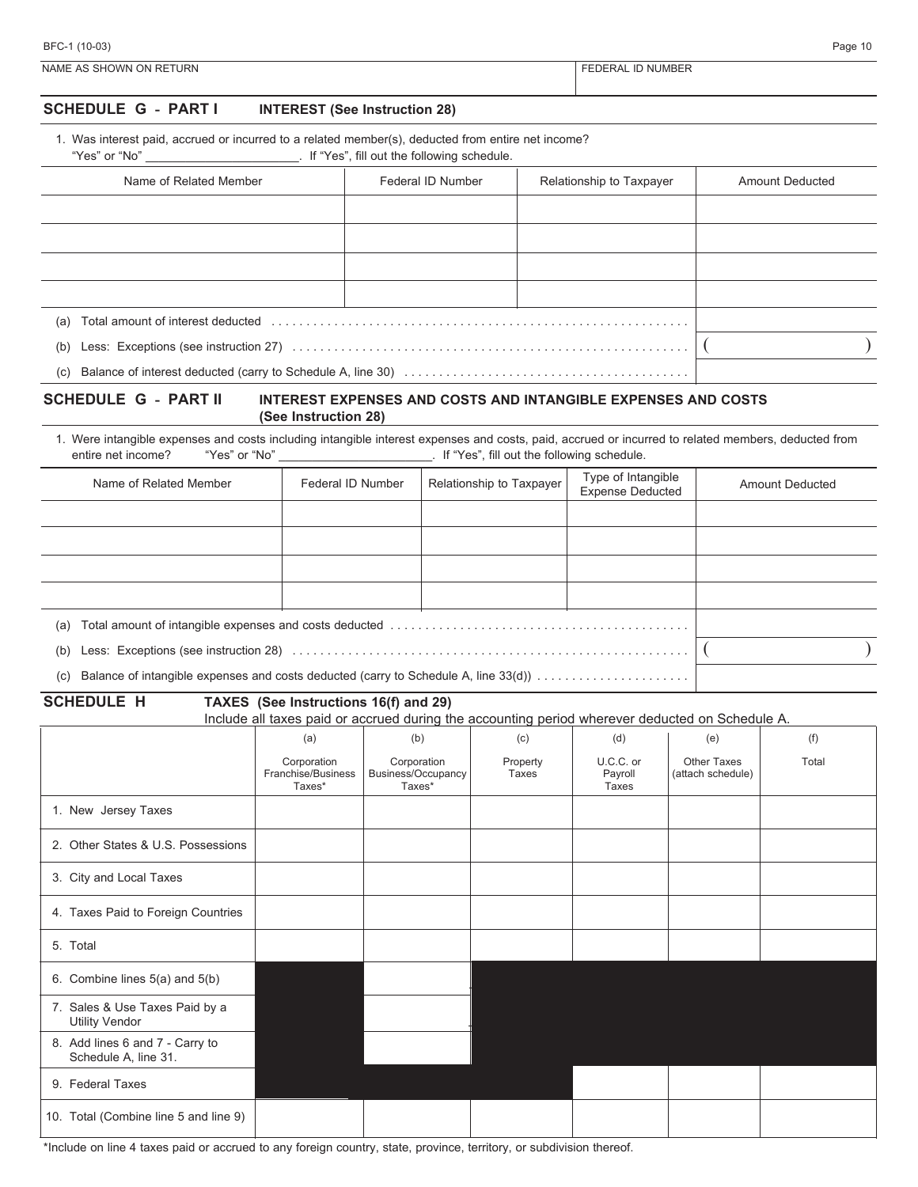| BFC-1 (10-03)           | Page 10                  |
|-------------------------|--------------------------|
| NAME AS SHOWN ON RETURN | <b>FEDERAL ID NUMBER</b> |

# **SCHEDULE G - PART I INTEREST (See Instruction 28)**

| 1. Was interest paid, accrued or incurred to a related member(s), deducted from entire net income? |  |
|----------------------------------------------------------------------------------------------------|--|
|----------------------------------------------------------------------------------------------------|--|

#### "Yes" or "No" \_\_\_\_\_\_\_\_\_\_\_\_\_\_\_\_\_\_\_\_\_\_\_. If "Yes", fill out the following schedule.

| Name of Related Member                                                                                                | Federal ID Number | Relationship to Taxpayer | <b>Amount Deducted</b> |
|-----------------------------------------------------------------------------------------------------------------------|-------------------|--------------------------|------------------------|
|                                                                                                                       |                   |                          |                        |
|                                                                                                                       |                   |                          |                        |
|                                                                                                                       |                   |                          |                        |
|                                                                                                                       |                   |                          |                        |
| Total amount of interest deducted entertainment contains and container and container and container and contain<br>(a) |                   |                          |                        |
| (b)                                                                                                                   |                   |                          |                        |
|                                                                                                                       |                   |                          |                        |

#### **SCHEDULE G - PART II INTEREST EXPENSES AND COSTS AND INTANGIBLE EXPENSES AND COSTS (See Instruction 28)**

1. Were intangible expenses and costs including intangible interest expenses and costs, paid, accrued or incurred to related members, deducted from entire net income? "Yes" or "No" entire net income? "Yes" or "No" and the following schedule.

| Name of Related Member | Federal ID Number                                                                   | Relationship to Taxpayer | Type of Intangible<br><b>Expense Deducted</b> | <b>Amount Deducted</b> |  |  |  |
|------------------------|-------------------------------------------------------------------------------------|--------------------------|-----------------------------------------------|------------------------|--|--|--|
|                        |                                                                                     |                          |                                               |                        |  |  |  |
|                        |                                                                                     |                          |                                               |                        |  |  |  |
|                        |                                                                                     |                          |                                               |                        |  |  |  |
|                        |                                                                                     |                          |                                               |                        |  |  |  |
| (a)                    |                                                                                     |                          |                                               |                        |  |  |  |
| (b)                    |                                                                                     |                          |                                               |                        |  |  |  |
| (c)                    | Balance of intangible expenses and costs deducted (carry to Schedule A, line 33(d)) |                          |                                               |                        |  |  |  |

**SCHEDULE H TAXES (See Instructions 16(f) and 29)**

Include all taxes paid or accrued during the accounting period wherever deducted on Schedule A.

|                                                         | (a)                                         | (b)                                         | (c)               | (d)                           | (e)                              | (f)   |
|---------------------------------------------------------|---------------------------------------------|---------------------------------------------|-------------------|-------------------------------|----------------------------------|-------|
|                                                         | Corporation<br>Franchise/Business<br>Taxes* | Corporation<br>Business/Occupancy<br>Taxes* | Property<br>Taxes | U.C.C. or<br>Payroll<br>Taxes | Other Taxes<br>(attach schedule) | Total |
| 1. New Jersey Taxes                                     |                                             |                                             |                   |                               |                                  |       |
| 2. Other States & U.S. Possessions                      |                                             |                                             |                   |                               |                                  |       |
| 3. City and Local Taxes                                 |                                             |                                             |                   |                               |                                  |       |
| 4. Taxes Paid to Foreign Countries                      |                                             |                                             |                   |                               |                                  |       |
| 5. Total                                                |                                             |                                             |                   |                               |                                  |       |
| 6. Combine lines 5(a) and 5(b)                          |                                             |                                             |                   |                               |                                  |       |
| 7. Sales & Use Taxes Paid by a<br><b>Utility Vendor</b> |                                             |                                             |                   |                               |                                  |       |
| 8. Add lines 6 and 7 - Carry to<br>Schedule A, line 31. |                                             |                                             |                   |                               |                                  |       |
| 9. Federal Taxes                                        |                                             |                                             |                   |                               |                                  |       |
| 10. Total (Combine line 5 and line 9)                   |                                             |                                             |                   |                               |                                  |       |

\*Include on line 4 taxes paid or accrued to any foreign country, state, province, territory, or subdivision thereof.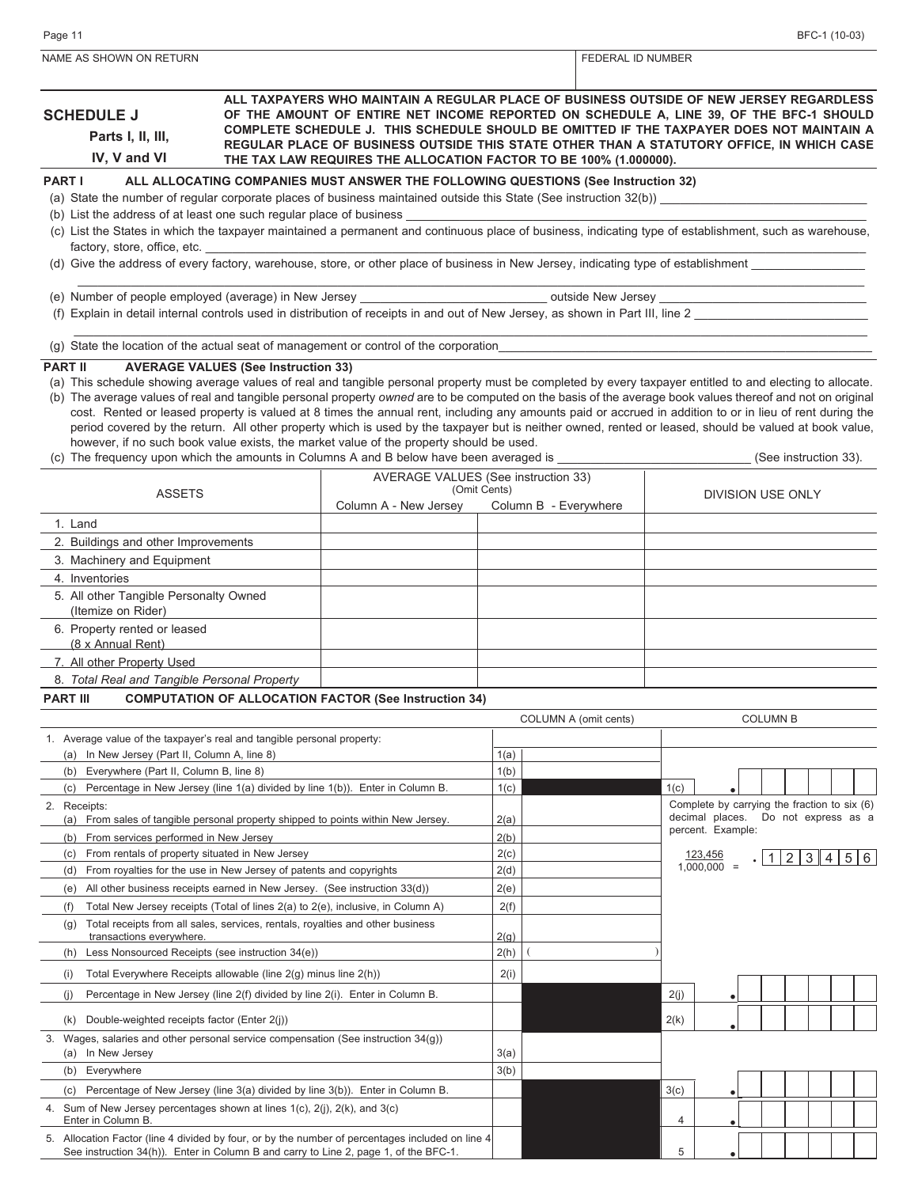| NAME AS SHOWN ON RETURN                                                                                                                                                                                                                                                                                                                                                                                                                                                                                    |                                            |                                                                                                                                                                                                                                                                                                                                                                                                                                                                                                                                                                                                                                                                                                                                          |              |                       | FEDERAL ID NUMBER     |      |                                              |                 |                       |  |  |
|------------------------------------------------------------------------------------------------------------------------------------------------------------------------------------------------------------------------------------------------------------------------------------------------------------------------------------------------------------------------------------------------------------------------------------------------------------------------------------------------------------|--------------------------------------------|------------------------------------------------------------------------------------------------------------------------------------------------------------------------------------------------------------------------------------------------------------------------------------------------------------------------------------------------------------------------------------------------------------------------------------------------------------------------------------------------------------------------------------------------------------------------------------------------------------------------------------------------------------------------------------------------------------------------------------------|--------------|-----------------------|-----------------------|------|----------------------------------------------|-----------------|-----------------------|--|--|
| ALL TAXPAYERS WHO MAINTAIN A REGULAR PLACE OF BUSINESS OUTSIDE OF NEW JERSEY REGARDLESS<br><b>SCHEDULE J</b><br>OF THE AMOUNT OF ENTIRE NET INCOME REPORTED ON SCHEDULE A, LINE 39, OF THE BFC-1 SHOULD<br>COMPLETE SCHEDULE J. THIS SCHEDULE SHOULD BE OMITTED IF THE TAXPAYER DOES NOT MAINTAIN A<br>Parts I, II, III,<br>REGULAR PLACE OF BUSINESS OUTSIDE THIS STATE OTHER THAN A STATUTORY OFFICE, IN WHICH CASE<br>IV, V and VI<br>THE TAX LAW REQUIRES THE ALLOCATION FACTOR TO BE 100% (1.000000). |                                            |                                                                                                                                                                                                                                                                                                                                                                                                                                                                                                                                                                                                                                                                                                                                          |              |                       |                       |      |                                              |                 |                       |  |  |
| <b>PART I</b>                                                                                                                                                                                                                                                                                                                                                                                                                                                                                              |                                            | ALL ALLOCATING COMPANIES MUST ANSWER THE FOLLOWING QUESTIONS (See Instruction 32)                                                                                                                                                                                                                                                                                                                                                                                                                                                                                                                                                                                                                                                        |              |                       |                       |      |                                              |                 |                       |  |  |
|                                                                                                                                                                                                                                                                                                                                                                                                                                                                                                            |                                            |                                                                                                                                                                                                                                                                                                                                                                                                                                                                                                                                                                                                                                                                                                                                          |              |                       |                       |      |                                              |                 |                       |  |  |
| (b) List the address of at least one such regular place of business _                                                                                                                                                                                                                                                                                                                                                                                                                                      |                                            | (c) List the States in which the taxpayer maintained a permanent and continuous place of business, indicating type of establishment, such as warehouse,                                                                                                                                                                                                                                                                                                                                                                                                                                                                                                                                                                                  |              |                       |                       |      |                                              |                 |                       |  |  |
| factory, store, office, etc.                                                                                                                                                                                                                                                                                                                                                                                                                                                                               |                                            |                                                                                                                                                                                                                                                                                                                                                                                                                                                                                                                                                                                                                                                                                                                                          |              |                       |                       |      |                                              |                 |                       |  |  |
|                                                                                                                                                                                                                                                                                                                                                                                                                                                                                                            |                                            | (d) Give the address of every factory, warehouse, store, or other place of business in New Jersey, indicating type of establishment                                                                                                                                                                                                                                                                                                                                                                                                                                                                                                                                                                                                      |              |                       |                       |      |                                              |                 |                       |  |  |
|                                                                                                                                                                                                                                                                                                                                                                                                                                                                                                            |                                            |                                                                                                                                                                                                                                                                                                                                                                                                                                                                                                                                                                                                                                                                                                                                          |              |                       |                       |      |                                              |                 |                       |  |  |
|                                                                                                                                                                                                                                                                                                                                                                                                                                                                                                            |                                            | (f) Explain in detail internal controls used in distribution of receipts in and out of New Jersey, as shown in Part III, line 2                                                                                                                                                                                                                                                                                                                                                                                                                                                                                                                                                                                                          |              |                       |                       |      |                                              |                 |                       |  |  |
|                                                                                                                                                                                                                                                                                                                                                                                                                                                                                                            |                                            | (g) State the location of the actual seat of management or control of the corporation                                                                                                                                                                                                                                                                                                                                                                                                                                                                                                                                                                                                                                                    |              |                       |                       |      |                                              |                 |                       |  |  |
| <b>PART II</b>                                                                                                                                                                                                                                                                                                                                                                                                                                                                                             | <b>AVERAGE VALUES (See Instruction 33)</b> |                                                                                                                                                                                                                                                                                                                                                                                                                                                                                                                                                                                                                                                                                                                                          |              |                       |                       |      |                                              |                 |                       |  |  |
|                                                                                                                                                                                                                                                                                                                                                                                                                                                                                                            |                                            | (a) This schedule showing average values of real and tangible personal property must be completed by every taxpayer entitled to and electing to allocate.<br>(b) The average values of real and tangible personal property owned are to be computed on the basis of the average book values thereof and not on original<br>cost. Rented or leased property is valued at 8 times the annual rent, including any amounts paid or accrued in addition to or in lieu of rent during the<br>period covered by the return. All other property which is used by the taxpayer but is neither owned, rented or leased, should be valued at book value,<br>however, if no such book value exists, the market value of the property should be used. |              |                       |                       |      |                                              |                 |                       |  |  |
|                                                                                                                                                                                                                                                                                                                                                                                                                                                                                                            |                                            | (c) The frequency upon which the amounts in Columns A and B below have been averaged is                                                                                                                                                                                                                                                                                                                                                                                                                                                                                                                                                                                                                                                  |              |                       |                       |      |                                              |                 | (See instruction 33). |  |  |
| <b>ASSETS</b>                                                                                                                                                                                                                                                                                                                                                                                                                                                                                              |                                            | AVERAGE VALUES (See instruction 33)                                                                                                                                                                                                                                                                                                                                                                                                                                                                                                                                                                                                                                                                                                      | (Omit Cents) |                       |                       |      |                                              |                 |                       |  |  |
|                                                                                                                                                                                                                                                                                                                                                                                                                                                                                                            |                                            | Column A - New Jersey                                                                                                                                                                                                                                                                                                                                                                                                                                                                                                                                                                                                                                                                                                                    |              | Column B - Everywhere |                       |      | DIVISION USE ONLY                            |                 |                       |  |  |
| 1. Land                                                                                                                                                                                                                                                                                                                                                                                                                                                                                                    |                                            |                                                                                                                                                                                                                                                                                                                                                                                                                                                                                                                                                                                                                                                                                                                                          |              |                       |                       |      |                                              |                 |                       |  |  |
| 2. Buildings and other Improvements                                                                                                                                                                                                                                                                                                                                                                                                                                                                        |                                            |                                                                                                                                                                                                                                                                                                                                                                                                                                                                                                                                                                                                                                                                                                                                          |              |                       |                       |      |                                              |                 |                       |  |  |
| 3. Machinery and Equipment                                                                                                                                                                                                                                                                                                                                                                                                                                                                                 |                                            |                                                                                                                                                                                                                                                                                                                                                                                                                                                                                                                                                                                                                                                                                                                                          |              |                       |                       |      |                                              |                 |                       |  |  |
| 4. Inventories<br>5. All other Tangible Personalty Owned                                                                                                                                                                                                                                                                                                                                                                                                                                                   |                                            |                                                                                                                                                                                                                                                                                                                                                                                                                                                                                                                                                                                                                                                                                                                                          |              |                       |                       |      |                                              |                 |                       |  |  |
| (Itemize on Rider)                                                                                                                                                                                                                                                                                                                                                                                                                                                                                         |                                            |                                                                                                                                                                                                                                                                                                                                                                                                                                                                                                                                                                                                                                                                                                                                          |              |                       |                       |      |                                              |                 |                       |  |  |
| 6. Property rented or leased<br>(8 x Annual Rent)                                                                                                                                                                                                                                                                                                                                                                                                                                                          |                                            |                                                                                                                                                                                                                                                                                                                                                                                                                                                                                                                                                                                                                                                                                                                                          |              |                       |                       |      |                                              |                 |                       |  |  |
| 7. All other Property Used                                                                                                                                                                                                                                                                                                                                                                                                                                                                                 |                                            |                                                                                                                                                                                                                                                                                                                                                                                                                                                                                                                                                                                                                                                                                                                                          |              |                       |                       |      |                                              |                 |                       |  |  |
| 8. Total Real and Tangible Personal Property                                                                                                                                                                                                                                                                                                                                                                                                                                                               |                                            |                                                                                                                                                                                                                                                                                                                                                                                                                                                                                                                                                                                                                                                                                                                                          |              |                       |                       |      |                                              |                 |                       |  |  |
| <b>PART III</b>                                                                                                                                                                                                                                                                                                                                                                                                                                                                                            |                                            | <b>COMPUTATION OF ALLOCATION FACTOR (See Instruction 34)</b>                                                                                                                                                                                                                                                                                                                                                                                                                                                                                                                                                                                                                                                                             |              |                       |                       |      |                                              |                 |                       |  |  |
|                                                                                                                                                                                                                                                                                                                                                                                                                                                                                                            |                                            |                                                                                                                                                                                                                                                                                                                                                                                                                                                                                                                                                                                                                                                                                                                                          |              |                       | COLUMN A (omit cents) |      |                                              | <b>COLUMN B</b> |                       |  |  |
| 1. Average value of the taxpayer's real and tangible personal property:                                                                                                                                                                                                                                                                                                                                                                                                                                    |                                            |                                                                                                                                                                                                                                                                                                                                                                                                                                                                                                                                                                                                                                                                                                                                          |              |                       |                       |      |                                              |                 |                       |  |  |
| (a) In New Jersey (Part II, Column A, line 8)                                                                                                                                                                                                                                                                                                                                                                                                                                                              |                                            |                                                                                                                                                                                                                                                                                                                                                                                                                                                                                                                                                                                                                                                                                                                                          | 1(a)         |                       |                       |      |                                              |                 |                       |  |  |
| (b) Everywhere (Part II, Column B, line 8)<br>(C)                                                                                                                                                                                                                                                                                                                                                                                                                                                          |                                            | Percentage in New Jersey (line 1(a) divided by line 1(b)). Enter in Column B.                                                                                                                                                                                                                                                                                                                                                                                                                                                                                                                                                                                                                                                            | 1(b)<br>1(c) |                       |                       | 1(c) |                                              |                 |                       |  |  |
| 2. Receipts:                                                                                                                                                                                                                                                                                                                                                                                                                                                                                               |                                            |                                                                                                                                                                                                                                                                                                                                                                                                                                                                                                                                                                                                                                                                                                                                          |              |                       |                       |      | Complete by carrying the fraction to six (6) |                 |                       |  |  |
| (a) From sales of tangible personal property shipped to points within New Jersey.                                                                                                                                                                                                                                                                                                                                                                                                                          |                                            |                                                                                                                                                                                                                                                                                                                                                                                                                                                                                                                                                                                                                                                                                                                                          | 2(a)         |                       |                       |      | decimal places.<br>percent. Example:         |                 | Do not express as a   |  |  |
| (b) From services performed in New Jersey                                                                                                                                                                                                                                                                                                                                                                                                                                                                  |                                            |                                                                                                                                                                                                                                                                                                                                                                                                                                                                                                                                                                                                                                                                                                                                          | 2(b)         |                       |                       |      |                                              |                 |                       |  |  |
| From rentals of property situated in New Jersey<br>(c)                                                                                                                                                                                                                                                                                                                                                                                                                                                     |                                            |                                                                                                                                                                                                                                                                                                                                                                                                                                                                                                                                                                                                                                                                                                                                          | 2(c)<br>2(d) |                       |                       |      | 123,456<br>$1,000,000 =$                     |                 | .  1 2 3 4 5 6        |  |  |
| From royalties for the use in New Jersey of patents and copyrights<br>(d)<br>All other business receipts earned in New Jersey. (See instruction 33(d))<br>(e)                                                                                                                                                                                                                                                                                                                                              |                                            | 2(e)                                                                                                                                                                                                                                                                                                                                                                                                                                                                                                                                                                                                                                                                                                                                     |              |                       |                       |      |                                              |                 |                       |  |  |
| (f)                                                                                                                                                                                                                                                                                                                                                                                                                                                                                                        |                                            | Total New Jersey receipts (Total of lines 2(a) to 2(e), inclusive, in Column A)                                                                                                                                                                                                                                                                                                                                                                                                                                                                                                                                                                                                                                                          | 2(f)         |                       |                       |      |                                              |                 |                       |  |  |
| Total receipts from all sales, services, rentals, royalties and other business<br>(g)                                                                                                                                                                                                                                                                                                                                                                                                                      |                                            |                                                                                                                                                                                                                                                                                                                                                                                                                                                                                                                                                                                                                                                                                                                                          |              |                       |                       |      |                                              |                 |                       |  |  |
| transactions everywhere.                                                                                                                                                                                                                                                                                                                                                                                                                                                                                   |                                            |                                                                                                                                                                                                                                                                                                                                                                                                                                                                                                                                                                                                                                                                                                                                          | 2(g)         |                       |                       |      |                                              |                 |                       |  |  |
| (h) Less Nonsourced Receipts (see instruction 34(e))                                                                                                                                                                                                                                                                                                                                                                                                                                                       |                                            |                                                                                                                                                                                                                                                                                                                                                                                                                                                                                                                                                                                                                                                                                                                                          | 2(h)         |                       |                       |      |                                              |                 |                       |  |  |
| Total Everywhere Receipts allowable (line 2(g) minus line 2(h))<br>(i)                                                                                                                                                                                                                                                                                                                                                                                                                                     |                                            |                                                                                                                                                                                                                                                                                                                                                                                                                                                                                                                                                                                                                                                                                                                                          | 2(i)         |                       |                       |      |                                              |                 |                       |  |  |
| Percentage in New Jersey (line 2(f) divided by line 2(i). Enter in Column B.<br>(j)                                                                                                                                                                                                                                                                                                                                                                                                                        |                                            |                                                                                                                                                                                                                                                                                                                                                                                                                                                                                                                                                                                                                                                                                                                                          |              |                       |                       | 2(j) |                                              |                 |                       |  |  |
| Double-weighted receipts factor (Enter 2(j))<br>(k)                                                                                                                                                                                                                                                                                                                                                                                                                                                        |                                            |                                                                                                                                                                                                                                                                                                                                                                                                                                                                                                                                                                                                                                                                                                                                          |              |                       |                       | 2(k) |                                              |                 |                       |  |  |
| Wages, salaries and other personal service compensation (See instruction $34(g)$ )<br>3.<br>(a) In New Jersey                                                                                                                                                                                                                                                                                                                                                                                              |                                            |                                                                                                                                                                                                                                                                                                                                                                                                                                                                                                                                                                                                                                                                                                                                          | 3(a)         |                       |                       |      |                                              |                 |                       |  |  |
| (b) Everywhere                                                                                                                                                                                                                                                                                                                                                                                                                                                                                             |                                            |                                                                                                                                                                                                                                                                                                                                                                                                                                                                                                                                                                                                                                                                                                                                          | 3(b)         |                       |                       |      |                                              |                 |                       |  |  |
| (C)                                                                                                                                                                                                                                                                                                                                                                                                                                                                                                        |                                            | Percentage of New Jersey (line 3(a) divided by line 3(b)). Enter in Column B.                                                                                                                                                                                                                                                                                                                                                                                                                                                                                                                                                                                                                                                            |              |                       |                       | 3(c) |                                              |                 |                       |  |  |
| Sum of New Jersey percentages shown at lines 1(c), 2(j), 2(k), and 3(c)<br>4.<br>Enter in Column B.                                                                                                                                                                                                                                                                                                                                                                                                        |                                            |                                                                                                                                                                                                                                                                                                                                                                                                                                                                                                                                                                                                                                                                                                                                          |              |                       |                       | 4    |                                              |                 |                       |  |  |
|                                                                                                                                                                                                                                                                                                                                                                                                                                                                                                            |                                            | 5. Allocation Factor (line 4 divided by four, or by the number of percentages included on line 4                                                                                                                                                                                                                                                                                                                                                                                                                                                                                                                                                                                                                                         |              |                       |                       |      |                                              |                 |                       |  |  |
| See instruction 34(h)). Enter in Column B and carry to Line 2, page 1, of the BFC-1.                                                                                                                                                                                                                                                                                                                                                                                                                       |                                            |                                                                                                                                                                                                                                                                                                                                                                                                                                                                                                                                                                                                                                                                                                                                          |              |                       |                       | 5    |                                              |                 |                       |  |  |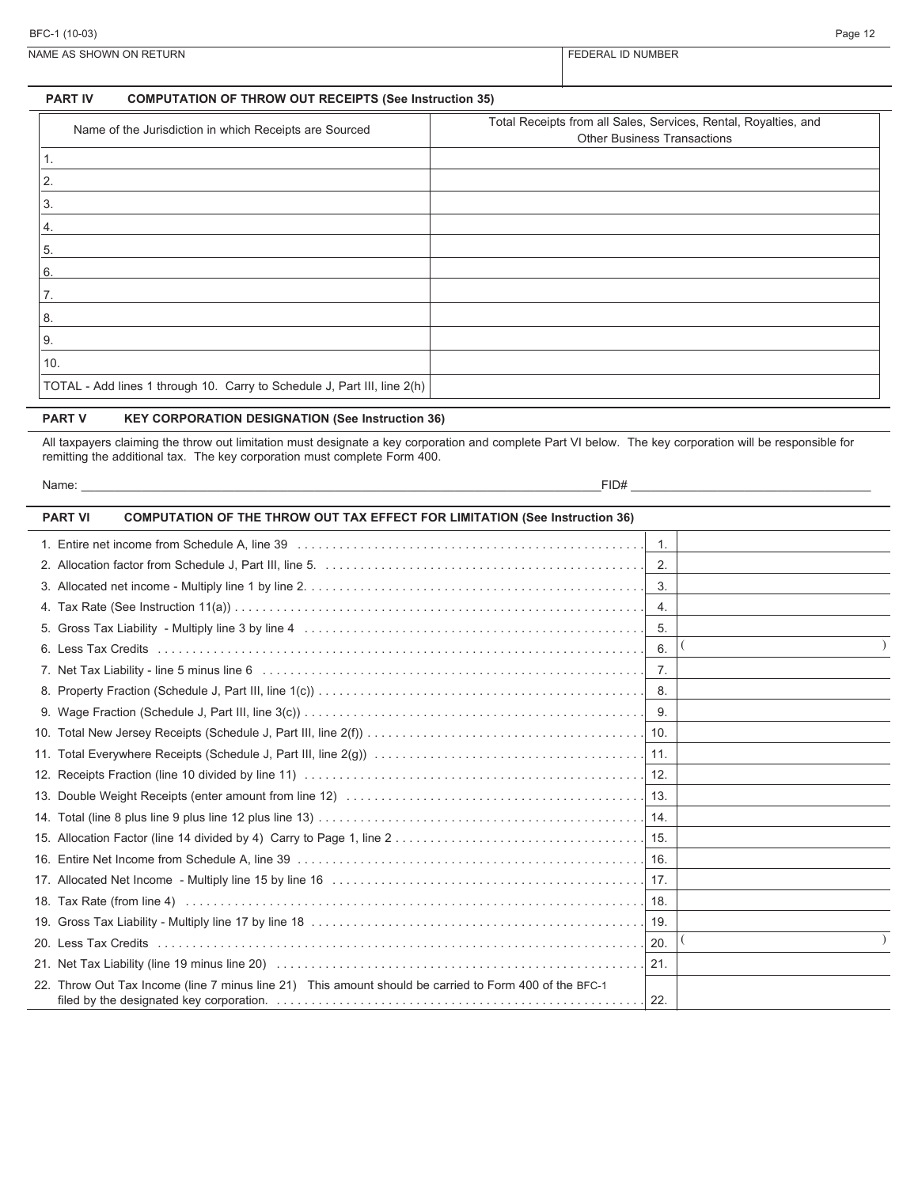NAME AS SHOWN ON RETURN FEDERAL ID NUMBER

#### **PART IV COMPUTATION OF THROW OUT RECEIPTS (See Instruction 35)**

| Name of the Jurisdiction in which Receipts are Sourced                   | Total Receipts from all Sales, Services, Rental, Royalties, and<br><b>Other Business Transactions</b> |
|--------------------------------------------------------------------------|-------------------------------------------------------------------------------------------------------|
|                                                                          |                                                                                                       |
| 2.                                                                       |                                                                                                       |
| 3.                                                                       |                                                                                                       |
| 4.                                                                       |                                                                                                       |
| 5.                                                                       |                                                                                                       |
| 6.                                                                       |                                                                                                       |
| 7.                                                                       |                                                                                                       |
| 8.                                                                       |                                                                                                       |
| 9.                                                                       |                                                                                                       |
| 10.                                                                      |                                                                                                       |
| TOTAL - Add lines 1 through 10. Carry to Schedule J, Part III, line 2(h) |                                                                                                       |

### **PART V KEY CORPORATION DESIGNATION (See Instruction 36)**

All taxpayers claiming the throw out limitation must designate a key corporation and complete Part VI below. The key corporation will be responsible for remitting the additional tax. The key corporation must complete Form 400.

| Name: | FID# |  |
|-------|------|--|
|       |      |  |

| <b>PART VI</b> | <b>COMPUTATION OF THE THROW OUT TAX EFFECT FOR LIMITATION (See Instruction 36)</b>                     |                  |  |
|----------------|--------------------------------------------------------------------------------------------------------|------------------|--|
|                |                                                                                                        | $\overline{1}$ . |  |
|                |                                                                                                        | 2.               |  |
|                |                                                                                                        | 3.               |  |
|                |                                                                                                        | 4.               |  |
|                |                                                                                                        | -5.              |  |
|                |                                                                                                        | 6.               |  |
|                |                                                                                                        | $\overline{7}$ . |  |
|                |                                                                                                        |                  |  |
|                |                                                                                                        |                  |  |
|                |                                                                                                        |                  |  |
|                |                                                                                                        |                  |  |
|                |                                                                                                        |                  |  |
|                |                                                                                                        |                  |  |
|                |                                                                                                        |                  |  |
|                |                                                                                                        |                  |  |
|                |                                                                                                        |                  |  |
|                |                                                                                                        |                  |  |
|                |                                                                                                        |                  |  |
|                |                                                                                                        |                  |  |
|                |                                                                                                        |                  |  |
|                |                                                                                                        | 21.              |  |
|                | 22. Throw Out Tax Income (line 7 minus line 21) This amount should be carried to Form 400 of the BFC-1 |                  |  |
|                |                                                                                                        | 22.              |  |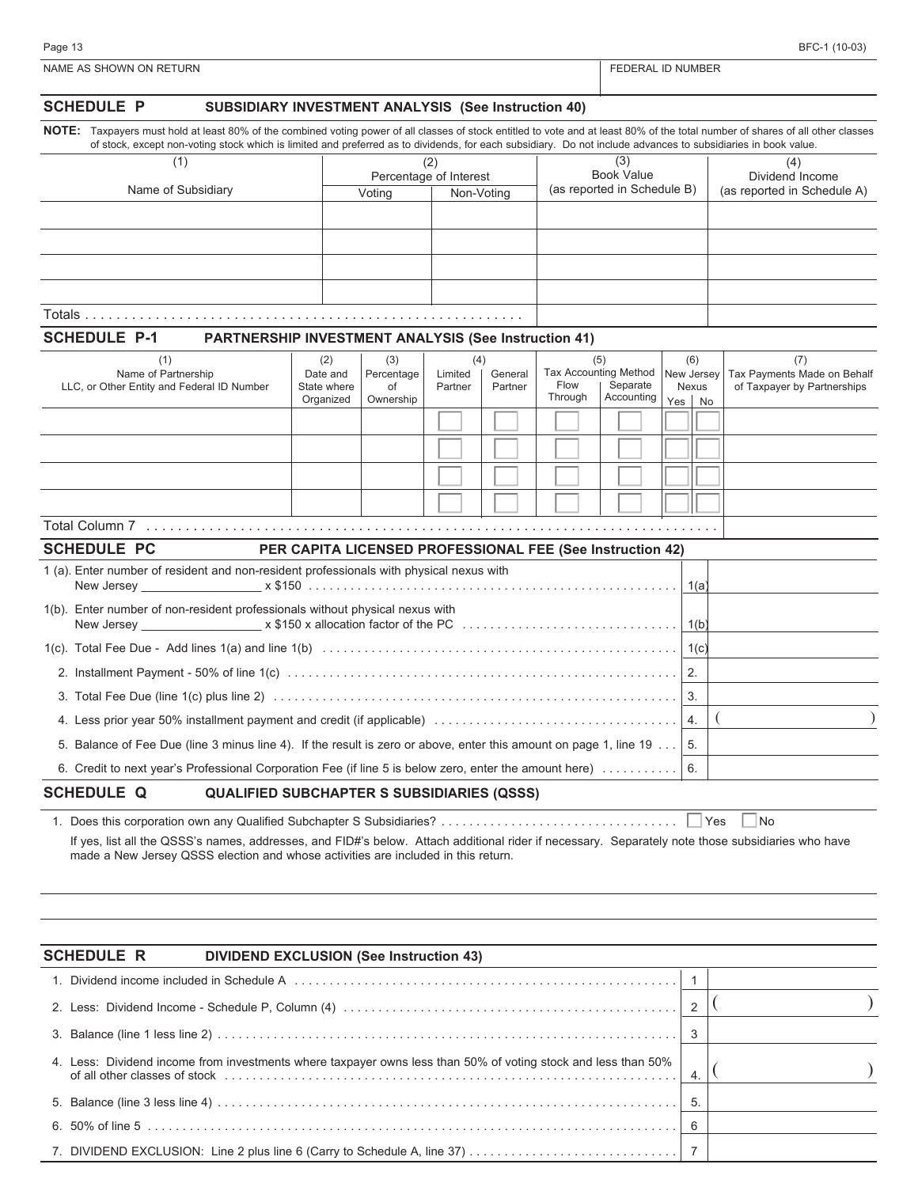| œ |  |  |
|---|--|--|
|   |  |  |

| <b>SCHEDULE P</b><br>SUBSIDIARY INVESTMENT ANALYSIS (See Instruction 40)                                                                                                                                                                                                                                                                          |                                                           |                        |                    |                    |         |                                          |                            |              |                                                            |
|---------------------------------------------------------------------------------------------------------------------------------------------------------------------------------------------------------------------------------------------------------------------------------------------------------------------------------------------------|-----------------------------------------------------------|------------------------|--------------------|--------------------|---------|------------------------------------------|----------------------------|--------------|------------------------------------------------------------|
| NOTE: Taxpayers must hold at least 80% of the combined voting power of all classes of stock entitled to vote and at least 80% of the total number of shares of all other classes<br>of stock, except non-voting stock which is limited and preferred as to dividends, for each subsidiary. Do not include advances to subsidiaries in book value. |                                                           |                        |                    |                    |         |                                          |                            |              |                                                            |
| (1)                                                                                                                                                                                                                                                                                                                                               |                                                           |                        | (2)                |                    |         | (3)                                      |                            |              | (4)                                                        |
|                                                                                                                                                                                                                                                                                                                                                   |                                                           | Percentage of Interest |                    |                    |         | <b>Book Value</b>                        |                            |              | Dividend Income                                            |
| Name of Subsidiary                                                                                                                                                                                                                                                                                                                                |                                                           | Voting                 | Non-Voting         |                    |         | (as reported in Schedule B)              |                            |              | (as reported in Schedule A)                                |
|                                                                                                                                                                                                                                                                                                                                                   |                                                           |                        |                    |                    |         |                                          |                            |              |                                                            |
|                                                                                                                                                                                                                                                                                                                                                   |                                                           |                        |                    |                    |         |                                          |                            |              |                                                            |
|                                                                                                                                                                                                                                                                                                                                                   |                                                           |                        |                    |                    |         |                                          |                            |              |                                                            |
|                                                                                                                                                                                                                                                                                                                                                   |                                                           |                        |                    |                    |         |                                          |                            |              |                                                            |
|                                                                                                                                                                                                                                                                                                                                                   |                                                           |                        |                    |                    |         |                                          |                            |              |                                                            |
| <b>SCHEDULE P-1</b><br><b>PARTNERSHIP INVESTMENT ANALYSIS (See Instruction 41)</b>                                                                                                                                                                                                                                                                |                                                           |                        |                    |                    |         |                                          |                            |              |                                                            |
| (1)                                                                                                                                                                                                                                                                                                                                               | (2)                                                       | (3)                    | (4)                |                    |         | (5)                                      |                            | (6)          | (7)                                                        |
| Name of Partnership<br>LLC, or Other Entity and Federal ID Number                                                                                                                                                                                                                                                                                 | Date and<br>State where                                   | Percentage<br>of       | Limited<br>Partner | General<br>Partner | Flow    | <b>Tax Accounting Method</b><br>Separate | New Jersey<br><b>Nexus</b> |              | Tax Payments Made on Behalf<br>of Taxpayer by Partnerships |
|                                                                                                                                                                                                                                                                                                                                                   | Organized                                                 | Ownership              |                    |                    | Through | Accounting                               | Yes                        | No           |                                                            |
|                                                                                                                                                                                                                                                                                                                                                   |                                                           |                        |                    |                    |         |                                          |                            |              |                                                            |
|                                                                                                                                                                                                                                                                                                                                                   |                                                           |                        |                    |                    |         |                                          |                            |              |                                                            |
|                                                                                                                                                                                                                                                                                                                                                   |                                                           |                        |                    |                    |         |                                          |                            |              |                                                            |
|                                                                                                                                                                                                                                                                                                                                                   |                                                           |                        |                    |                    |         |                                          |                            |              |                                                            |
|                                                                                                                                                                                                                                                                                                                                                   |                                                           |                        |                    |                    |         |                                          |                            |              |                                                            |
|                                                                                                                                                                                                                                                                                                                                                   |                                                           |                        |                    |                    |         |                                          |                            |              |                                                            |
| <b>SCHEDULE PC</b>                                                                                                                                                                                                                                                                                                                                | PER CAPITA LICENSED PROFESSIONAL FEE (See Instruction 42) |                        |                    |                    |         |                                          |                            |              |                                                            |
| 1 (a). Enter number of resident and non-resident professionals with physical nexus with<br>New Jersey                                                                                                                                                                                                                                             |                                                           |                        |                    |                    |         |                                          |                            | 1(a)         |                                                            |
| 1(b). Enter number of non-resident professionals without physical nexus with                                                                                                                                                                                                                                                                      |                                                           |                        |                    |                    |         |                                          |                            | 1(b)         |                                                            |
|                                                                                                                                                                                                                                                                                                                                                   |                                                           |                        |                    |                    |         |                                          |                            | 1(c)         |                                                            |
|                                                                                                                                                                                                                                                                                                                                                   |                                                           |                        |                    |                    |         |                                          | 2.                         |              |                                                            |
|                                                                                                                                                                                                                                                                                                                                                   |                                                           |                        |                    |                    |         |                                          | 3.                         |              |                                                            |
|                                                                                                                                                                                                                                                                                                                                                   |                                                           |                        |                    |                    |         |                                          | 4.                         |              |                                                            |
| 5. Balance of Fee Due (line 3 minus line 4). If the result is zero or above, enter this amount on page 1, line 19                                                                                                                                                                                                                                 |                                                           |                        |                    |                    |         |                                          | 5.                         |              |                                                            |
| 6. Credit to next year's Professional Corporation Fee (if line 5 is below zero, enter the amount here)                                                                                                                                                                                                                                            |                                                           |                        |                    |                    |         |                                          |                            |              |                                                            |
| <b>SCHEDULE Q</b>                                                                                                                                                                                                                                                                                                                                 |                                                           |                        |                    |                    |         |                                          |                            |              |                                                            |
| <b>QUALIFIED SUBCHAPTER S SUBSIDIARIES (QSSS)</b>                                                                                                                                                                                                                                                                                                 |                                                           |                        |                    |                    |         |                                          |                            |              |                                                            |
| If yes, list all the QSSS's names, addresses, and FID#'s below. Attach additional rider if necessary. Separately note those subsidiaries who have<br>made a New Jersey QSSS election and whose activities are included in this return.                                                                                                            |                                                           |                        |                    |                    |         |                                          |                            | Yes          | $\overline{\mathsf{No}}$                                   |
|                                                                                                                                                                                                                                                                                                                                                   |                                                           |                        |                    |                    |         |                                          |                            |              |                                                            |
|                                                                                                                                                                                                                                                                                                                                                   |                                                           |                        |                    |                    |         |                                          |                            |              |                                                            |
| <b>SCHEDULE R</b><br><b>DIVIDEND EXCLUSION (See Instruction 43)</b>                                                                                                                                                                                                                                                                               |                                                           |                        |                    |                    |         |                                          |                            |              |                                                            |
|                                                                                                                                                                                                                                                                                                                                                   |                                                           |                        |                    |                    |         |                                          |                            | $\mathbf{1}$ |                                                            |
|                                                                                                                                                                                                                                                                                                                                                   |                                                           |                        |                    |                    |         |                                          |                            |              |                                                            |
|                                                                                                                                                                                                                                                                                                                                                   |                                                           |                        |                    |                    |         |                                          |                            | 2            |                                                            |
| 3.                                                                                                                                                                                                                                                                                                                                                |                                                           |                        |                    |                    |         |                                          |                            | 3            |                                                            |
| 4. Less: Dividend income from investments where taxpayer owns less than 50% of voting stock and less than 50%                                                                                                                                                                                                                                     |                                                           |                        |                    |                    |         |                                          |                            | 4.           |                                                            |

5. Balance (line 3 less line 4) . . . . . . . . . . . . . . . . . . . . . . . . . . . . . . . . . . . . . . . . . . . . . . . . . . . . . . . . . . . . . . . . . . 5. 6. 50% of line 5 . . . . . . . . . . . . . . . . . . . . . . . . . . . . . . . . . . . . . . . . . . . . . . . . . . . . . . . . . . . . . . . . . . . . . . . . . . . . 6 7. DIVIDEND EXCLUSION: Line 2 plus line 6 (Carry to Schedule A, line 37) . . . . . . . . . . . . . . . . . . . . . . . . . . . . . . 7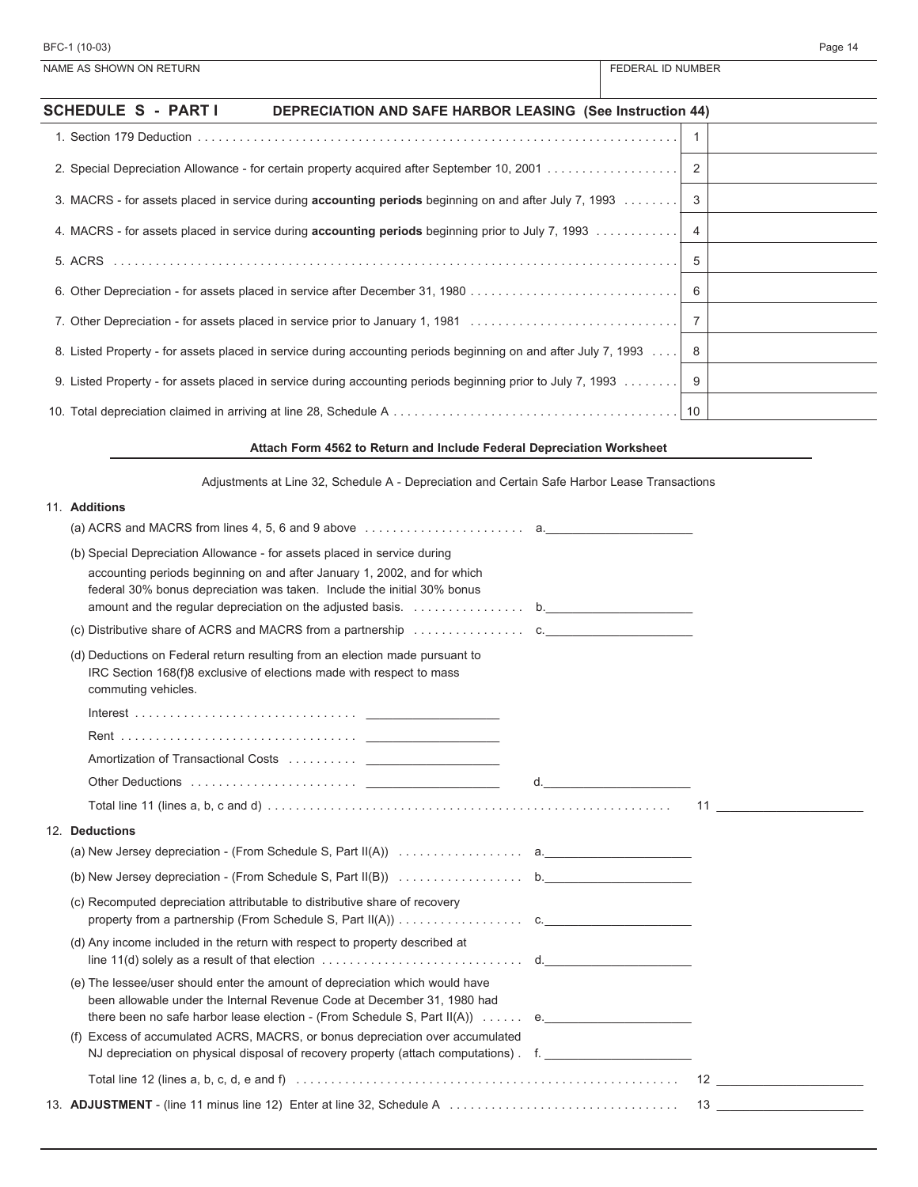| BFC-1 (10-03)                                                                                                   |                          | Page 14 |
|-----------------------------------------------------------------------------------------------------------------|--------------------------|---------|
| NAME AS SHOWN ON RETURN                                                                                         | <b>FEDERAL ID NUMBER</b> |         |
| SCHEDULE S - PART I<br><b>DEPRECIATION AND SAFE HARBOR LEASING (See Instruction 44)</b>                         |                          |         |
|                                                                                                                 |                          |         |
|                                                                                                                 |                          |         |
| 3. MACRS - for assets placed in service during <b>accounting periods</b> beginning on and after July 7, 1993 3  |                          |         |
| 4. MACRS - for assets placed in service during <b>accounting periods</b> beginning prior to July 7, 1993 4      |                          |         |
|                                                                                                                 |                          |         |
|                                                                                                                 |                          |         |
|                                                                                                                 |                          |         |
| 8. Listed Property - for assets placed in service during accounting periods beginning on and after July 7, 1993 |                          |         |
| 9. Listed Property - for assets placed in service during accounting periods beginning prior to July 7, 1993 9   |                          |         |

# **Attach Form 4562 to Return and Include Federal Depreciation Worksheet**

10. Total depreciation claimed in arriving at line 28, Schedule A . . . . . . . . . . . . . . . . . . . . . . . . . . . . . . . . . . . . . . . . . 10

| Adjustments at Line 32, Schedule A - Depreciation and Certain Safe Harbor Lease Transactions |  |
|----------------------------------------------------------------------------------------------|--|
|                                                                                              |  |

| 11. Additions                                                                                                                                                                                                                                                                                                                                                                                                  |    |  |
|----------------------------------------------------------------------------------------------------------------------------------------------------------------------------------------------------------------------------------------------------------------------------------------------------------------------------------------------------------------------------------------------------------------|----|--|
| (a) ACRS and MACRS from lines 4, 5, 6 and 9 above $\ldots \ldots \ldots \ldots \ldots \ldots$ a.                                                                                                                                                                                                                                                                                                               |    |  |
| (b) Special Depreciation Allowance - for assets placed in service during<br>accounting periods beginning on and after January 1, 2002, and for which<br>federal 30% bonus depreciation was taken. Include the initial 30% bonus                                                                                                                                                                                |    |  |
| (c) Distributive share of ACRS and MACRS from a partnership $\ldots \ldots \ldots \ldots$                                                                                                                                                                                                                                                                                                                      |    |  |
| (d) Deductions on Federal return resulting from an election made pursuant to<br>IRC Section 168(f)8 exclusive of elections made with respect to mass<br>commuting vehicles.                                                                                                                                                                                                                                    |    |  |
|                                                                                                                                                                                                                                                                                                                                                                                                                |    |  |
|                                                                                                                                                                                                                                                                                                                                                                                                                |    |  |
|                                                                                                                                                                                                                                                                                                                                                                                                                |    |  |
|                                                                                                                                                                                                                                                                                                                                                                                                                | d. |  |
| Total line 11 (lines a, b, c and d) $\ldots$ $\ldots$ $\ldots$ $\ldots$ $\ldots$ $\ldots$ $\ldots$ $\ldots$ $\ldots$ $\ldots$ $\ldots$ $\ldots$ $\ldots$ 11                                                                                                                                                                                                                                                    |    |  |
| 12. Deductions                                                                                                                                                                                                                                                                                                                                                                                                 |    |  |
|                                                                                                                                                                                                                                                                                                                                                                                                                |    |  |
|                                                                                                                                                                                                                                                                                                                                                                                                                |    |  |
| (c) Recomputed depreciation attributable to distributive share of recovery                                                                                                                                                                                                                                                                                                                                     |    |  |
| (d) Any income included in the return with respect to property described at<br>line 11(d) solely as a result of that election $\ldots \ldots \ldots \ldots \ldots \ldots \ldots$ d.                                                                                                                                                                                                                            |    |  |
| (e) The lessee/user should enter the amount of depreciation which would have<br>been allowable under the Internal Revenue Code at December 31, 1980 had<br>there been no safe harbor lease election - (From Schedule S, Part II(A))  e.<br>(f) Excess of accumulated ACRS, MACRS, or bonus depreciation over accumulated<br>NJ depreciation on physical disposal of recovery property (attach computations) f. |    |  |
|                                                                                                                                                                                                                                                                                                                                                                                                                |    |  |
| Total line 12 (lines a, b, c, d, e and f) $\ldots$ $\ldots$ $\ldots$ $\ldots$ $\ldots$ $\ldots$ $\ldots$ $\ldots$ $\ldots$ $\ldots$ $\ldots$ $\ldots$ $\ldots$ $\ldots$ $\ldots$ $\ldots$ $\ldots$ $\ldots$ $\ldots$ $\ldots$ $\ldots$                                                                                                                                                                         |    |  |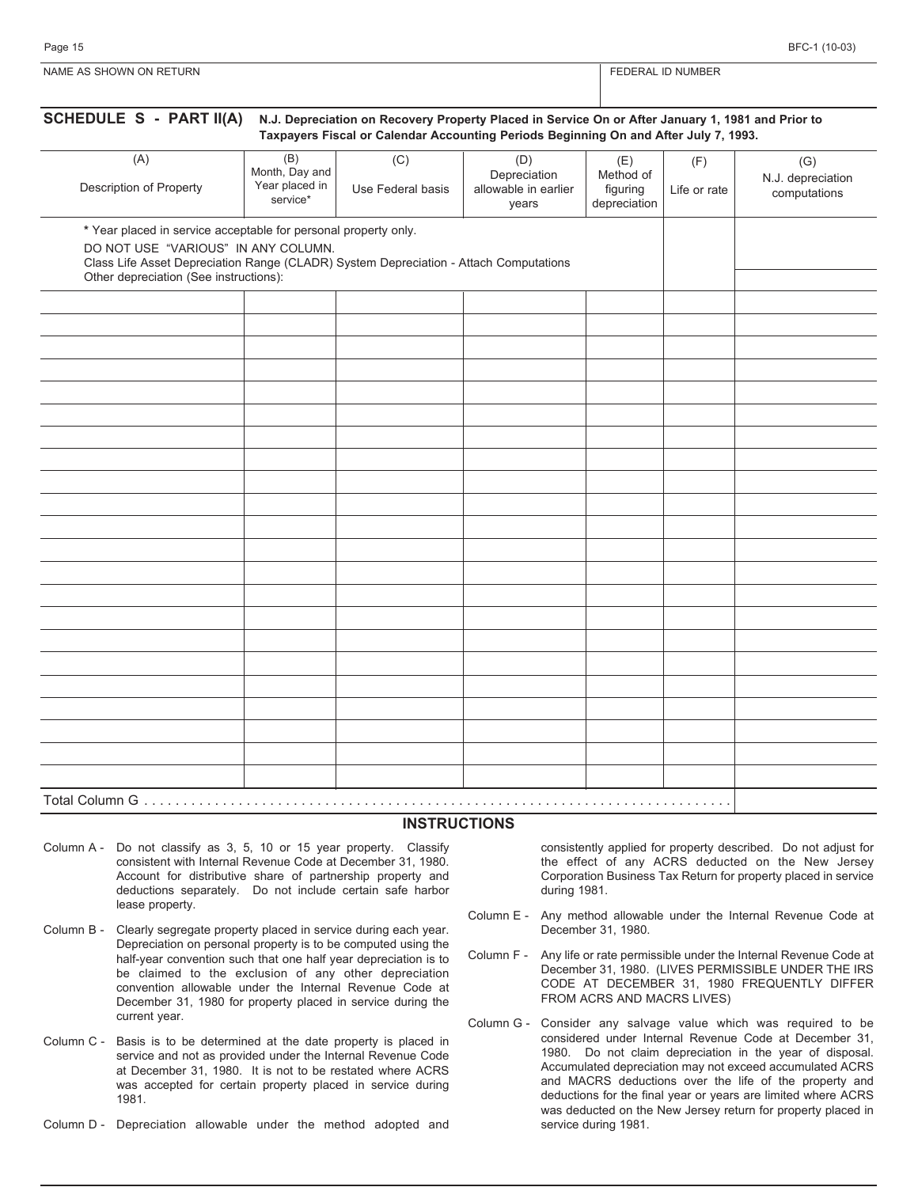| <b>NAME</b><br>URN<br><b>CONNE AS SHOWN ON RETIRE</b> | , NUMBER |
|-------------------------------------------------------|----------|
|                                                       |          |

| (A)                                                                                                                                                                                                                                       | (B)<br>Month, Day and      | (C)               | (D)<br>Depreciation           | (E)<br>Method of         | (F)          | (G)<br>N.J. depreciation |
|-------------------------------------------------------------------------------------------------------------------------------------------------------------------------------------------------------------------------------------------|----------------------------|-------------------|-------------------------------|--------------------------|--------------|--------------------------|
| Description of Property                                                                                                                                                                                                                   | Year placed in<br>service* | Use Federal basis | allowable in earlier<br>years | figuring<br>depreciation | Life or rate | computations             |
| * Year placed in service acceptable for personal property only.<br>DO NOT USE "VARIOUS" IN ANY COLUMN.<br>Class Life Asset Depreciation Range (CLADR) System Depreciation - Attach Computations<br>Other depreciation (See instructions): |                            |                   |                               |                          |              |                          |
|                                                                                                                                                                                                                                           |                            |                   |                               |                          |              |                          |
|                                                                                                                                                                                                                                           |                            |                   |                               |                          |              |                          |
|                                                                                                                                                                                                                                           |                            |                   |                               |                          |              |                          |
|                                                                                                                                                                                                                                           |                            |                   |                               |                          |              |                          |
|                                                                                                                                                                                                                                           |                            |                   |                               |                          |              |                          |
|                                                                                                                                                                                                                                           |                            |                   |                               |                          |              |                          |
|                                                                                                                                                                                                                                           |                            |                   |                               |                          |              |                          |
|                                                                                                                                                                                                                                           |                            |                   |                               |                          |              |                          |
|                                                                                                                                                                                                                                           |                            |                   |                               |                          |              |                          |
|                                                                                                                                                                                                                                           |                            |                   |                               |                          |              |                          |
|                                                                                                                                                                                                                                           |                            |                   |                               |                          |              |                          |
|                                                                                                                                                                                                                                           |                            |                   |                               |                          |              |                          |
|                                                                                                                                                                                                                                           |                            |                   |                               |                          |              |                          |
|                                                                                                                                                                                                                                           |                            |                   |                               |                          |              |                          |
|                                                                                                                                                                                                                                           |                            |                   |                               |                          |              |                          |
|                                                                                                                                                                                                                                           |                            |                   |                               |                          |              |                          |
|                                                                                                                                                                                                                                           |                            |                   |                               |                          |              |                          |
|                                                                                                                                                                                                                                           |                            |                   |                               |                          |              |                          |
|                                                                                                                                                                                                                                           |                            |                   |                               |                          |              |                          |
|                                                                                                                                                                                                                                           |                            |                   |                               |                          |              |                          |
|                                                                                                                                                                                                                                           |                            |                   |                               |                          |              |                          |
|                                                                                                                                                                                                                                           |                            |                   |                               |                          |              |                          |

#### **INSTRUCTIONS**

- Column A Do not classify as 3, 5, 10 or 15 year property. Classify consistent with Internal Revenue Code at December 31, 1980. Account for distributive share of partnership property and deductions separately. Do not include certain safe harbor lease property.
- Column B Clearly segregate property placed in service during each year. Depreciation on personal property is to be computed using the half-year convention such that one half year depreciation is to be claimed to the exclusion of any other depreciation convention allowable under the Internal Revenue Code at December 31, 1980 for property placed in service during the current year.
- Column C Basis is to be determined at the date property is placed in service and not as provided under the Internal Revenue Code at December 31, 1980. It is not to be restated where ACRS was accepted for certain property placed in service during 1981.
- Column D Depreciation allowable under the method adopted and

consistently applied for property described. Do not adjust for the effect of any ACRS deducted on the New Jersey Corporation Business Tax Return for property placed in service during 1981.

- Column E Any method allowable under the Internal Revenue Code at December 31, 1980.
- Column F Any life or rate permissible under the Internal Revenue Code at December 31, 1980. (LIVES PERMISSIBLE UNDER THE IRS CODE AT DECEMBER 31, 1980 FREQUENTLY DIFFER FROM ACRS AND MACRS LIVES)
- Column G Consider any salvage value which was required to be considered under Internal Revenue Code at December 31, 1980. Do not claim depreciation in the year of disposal. Accumulated depreciation may not exceed accumulated ACRS and MACRS deductions over the life of the property and deductions for the final year or years are limited where ACRS was deducted on the New Jersey return for property placed in service during 1981.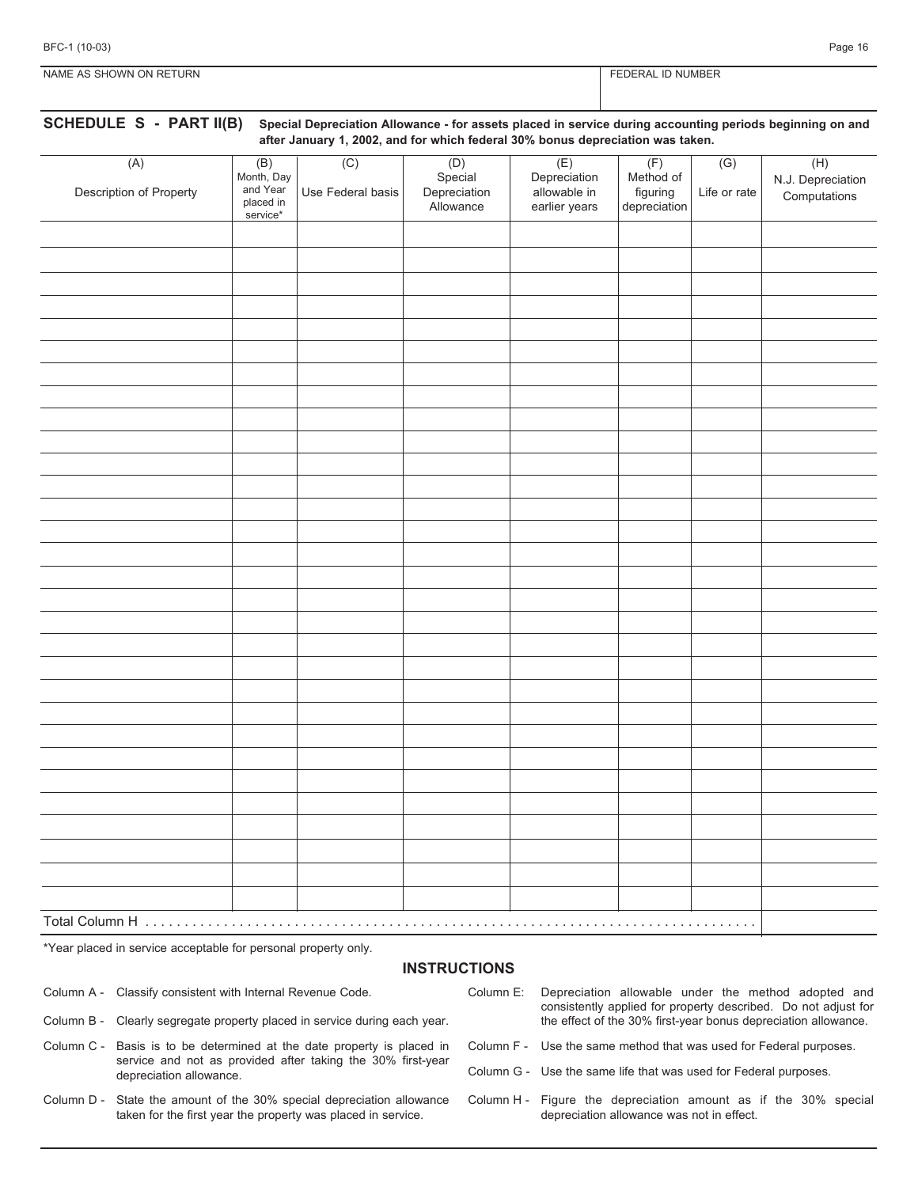| BFC-1 (10-03) |  | Page 16 |  |
|---------------|--|---------|--|
|               |  |         |  |

FEDERAL ID NUMBER

|--|--|

# **SCHEDULE S - PART II(B) Special Depreciation Allowance - for assets placed in service during accounting periods beginning on and after January 1, 2002, and for which federal 30% bonus depreciation was taken.**

|                                |                                                        | after carrating $\alpha$ , and for throat reactal cost someo approclation that taken |                                             |                                                      |                                              |                     |                                          |
|--------------------------------|--------------------------------------------------------|--------------------------------------------------------------------------------------|---------------------------------------------|------------------------------------------------------|----------------------------------------------|---------------------|------------------------------------------|
| (A)<br>Description of Property | (B)<br>Month, Day<br>and Year<br>placed in<br>service* | $\overline{(C)}$<br>Use Federal basis                                                | (D)<br>Special<br>Depreciation<br>Allowance | (E)<br>Depreciation<br>allowable in<br>earlier years | (F)<br>Method of<br>figuring<br>depreciation | (G)<br>Life or rate | (H)<br>N.J. Depreciation<br>Computations |
|                                |                                                        |                                                                                      |                                             |                                                      |                                              |                     |                                          |
|                                |                                                        |                                                                                      |                                             |                                                      |                                              |                     |                                          |
|                                |                                                        |                                                                                      |                                             |                                                      |                                              |                     |                                          |
|                                |                                                        |                                                                                      |                                             |                                                      |                                              |                     |                                          |
|                                |                                                        |                                                                                      |                                             |                                                      |                                              |                     |                                          |
|                                |                                                        |                                                                                      |                                             |                                                      |                                              |                     |                                          |
|                                |                                                        |                                                                                      |                                             |                                                      |                                              |                     |                                          |
|                                |                                                        |                                                                                      |                                             |                                                      |                                              |                     |                                          |
|                                |                                                        |                                                                                      |                                             |                                                      |                                              |                     |                                          |
|                                |                                                        |                                                                                      |                                             |                                                      |                                              |                     |                                          |
|                                |                                                        |                                                                                      |                                             |                                                      |                                              |                     |                                          |
|                                |                                                        |                                                                                      |                                             |                                                      |                                              |                     |                                          |
|                                |                                                        |                                                                                      |                                             |                                                      |                                              |                     |                                          |
|                                |                                                        |                                                                                      |                                             |                                                      |                                              |                     |                                          |
|                                |                                                        |                                                                                      |                                             |                                                      |                                              |                     |                                          |
|                                |                                                        |                                                                                      |                                             |                                                      |                                              |                     |                                          |
|                                |                                                        |                                                                                      |                                             |                                                      |                                              |                     |                                          |
|                                |                                                        |                                                                                      |                                             |                                                      |                                              |                     |                                          |
|                                |                                                        |                                                                                      |                                             |                                                      |                                              |                     |                                          |
|                                |                                                        |                                                                                      |                                             |                                                      |                                              |                     |                                          |
|                                |                                                        |                                                                                      |                                             |                                                      |                                              |                     |                                          |
|                                |                                                        |                                                                                      |                                             |                                                      |                                              |                     |                                          |
|                                |                                                        |                                                                                      |                                             |                                                      |                                              |                     |                                          |
|                                |                                                        |                                                                                      |                                             |                                                      |                                              |                     |                                          |
|                                |                                                        |                                                                                      |                                             |                                                      |                                              |                     |                                          |
|                                |                                                        |                                                                                      |                                             |                                                      |                                              |                     |                                          |
|                                |                                                        |                                                                                      |                                             |                                                      |                                              |                     |                                          |
|                                |                                                        |                                                                                      |                                             |                                                      |                                              |                     |                                          |
|                                |                                                        |                                                                                      |                                             |                                                      |                                              |                     |                                          |
|                                |                                                        |                                                                                      |                                             |                                                      |                                              |                     |                                          |
|                                |                                                        |                                                                                      |                                             |                                                      |                                              |                     |                                          |

\*Year placed in service acceptable for personal property only.

#### **INSTRUCTIONS**

Column A - Classify consistent with Internal Revenue Code.

- Column E: Depreciation allowable under the method adopted and consistently applied for property described. Do not adjust for the effect of the 30% first-year bonus depreciation allowance.
- Column B Clearly segregate property placed in service during each year.
- Column C Basis is to be determined at the date property is placed in service and not as provided after taking the 30% first-year depreciation allowance.
- Column D State the amount of the 30% special depreciation allowance taken for the first year the property was placed in service.
- Column F Use the same method that was used for Federal purposes.
- Column G Use the same life that was used for Federal purposes.
- Column H Figure the depreciation amount as if the 30% special depreciation allowance was not in effect.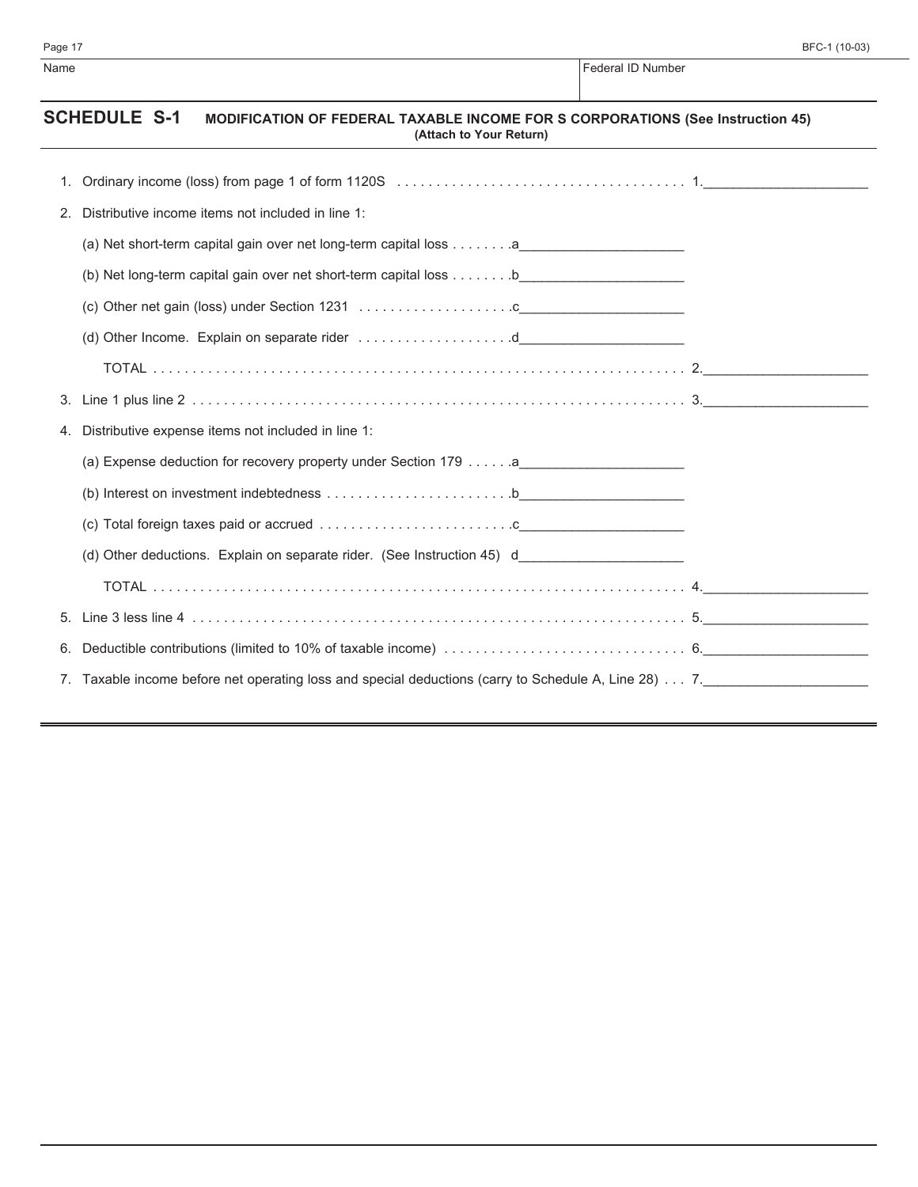$\overline{\phantom{0}}$ 

| Page 17 |                                                                                                                                         | BFC-1 (10-03)     |
|---------|-----------------------------------------------------------------------------------------------------------------------------------------|-------------------|
| Name    |                                                                                                                                         | Federal ID Number |
|         | <b>SCHEDULE S-1</b><br><b>MODIFICATION OF FEDERAL TAXABLE INCOME FOR S CORPORATIONS (See Instruction 45)</b><br>(Attach to Your Return) |                   |
| 1.      |                                                                                                                                         |                   |
| 2.      | Distributive income items not included in line 1:                                                                                       |                   |
|         | (a) Net short-term capital gain over net long-term capital loss a                                                                       |                   |
|         |                                                                                                                                         |                   |
|         |                                                                                                                                         |                   |
|         | (d) Other Income. Explain on separate rider d                                                                                           |                   |
|         |                                                                                                                                         |                   |
|         |                                                                                                                                         |                   |
| 4.      | Distributive expense items not included in line 1:                                                                                      |                   |
|         |                                                                                                                                         |                   |
|         |                                                                                                                                         |                   |
|         |                                                                                                                                         |                   |
|         | (d) Other deductions. Explain on separate rider. (See Instruction 45) d_____________________________                                    |                   |
|         |                                                                                                                                         |                   |
| 5.      |                                                                                                                                         |                   |
| 6.      |                                                                                                                                         |                   |
|         | 7. Taxable income before net operating loss and special deductions (carry to Schedule A, Line 28) 7.                                    |                   |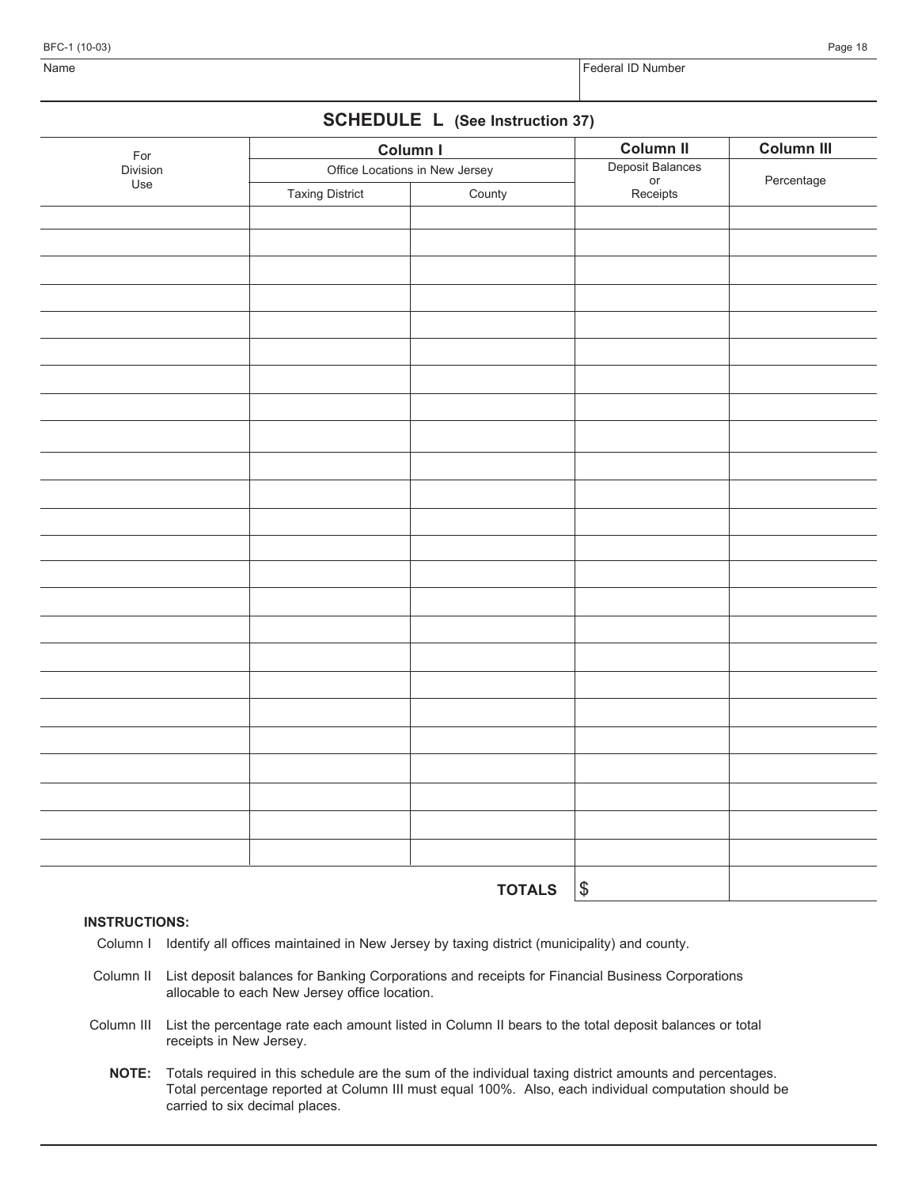BFC-1 (10-03) Page 18

# **SCHEDULE L (See Instruction 37)**

| For      | Column I                       |               | <b>Column II</b>                          | Column III |
|----------|--------------------------------|---------------|-------------------------------------------|------------|
| Division | Office Locations in New Jersey |               |                                           |            |
| Use      | <b>Taxing District</b>         | County        | Deposit Balances<br>or<br>Receipts        | Percentage |
|          |                                |               |                                           |            |
|          |                                |               |                                           |            |
|          |                                |               |                                           |            |
|          |                                |               |                                           |            |
|          |                                |               |                                           |            |
|          |                                |               |                                           |            |
|          |                                |               |                                           |            |
|          |                                |               |                                           |            |
|          |                                |               |                                           |            |
|          |                                |               |                                           |            |
|          |                                |               |                                           |            |
|          |                                |               |                                           |            |
|          |                                |               |                                           |            |
|          |                                |               |                                           |            |
|          |                                |               |                                           |            |
|          |                                |               |                                           |            |
|          |                                |               |                                           |            |
|          |                                |               |                                           |            |
|          |                                |               |                                           |            |
|          |                                |               |                                           |            |
|          |                                |               |                                           |            |
|          |                                |               |                                           |            |
|          |                                |               |                                           |            |
|          |                                |               |                                           |            |
|          |                                |               |                                           |            |
|          |                                |               |                                           |            |
|          |                                |               |                                           |            |
|          |                                | <b>TOTALS</b> | $\, \, \raisebox{12pt}{$\scriptstyle \$}$ |            |

#### **INSTRUCTIONS:**

- Column I Identify all offices maintained in New Jersey by taxing district (municipality) and county.
- Column II List deposit balances for Banking Corporations and receipts for Financial Business Corporations allocable to each New Jersey office location.
- Column III List the percentage rate each amount listed in Column II bears to the total deposit balances or total receipts in New Jersey.
	- **NOTE:** Totals required in this schedule are the sum of the individual taxing district amounts and percentages. Total percentage reported at Column III must equal 100%. Also, each individual computation should be carried to six decimal places.